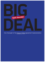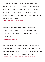"Sometimes I ask myself if this dialogue with Serbia is really worth it if it is costing us so much division within Kosovo society. This dialogue is the reason why parliamentary normality has been completely blocked in Kosovo. How can we be ready to dialogue with Serbia if we are not able to dialogue locally first, our government with opposition?"

**BIG**

**—BESA LUZHA, FRIEDRICH EBERT STIFTUNG**

"Sometimes I'm afraid of being wrong and making a slip of the tongue when talking about the decision-makers in the municipalities. I do not know which municipality they belong to, Kosovo or Serbian."

**— CITIZEN FROM LEPOSAVIC**

"I did try to explain that there is an agreement between the two parties that Kosovo citizens enter Serbia with an ID card, but to no avail. He asked me to show him my ID, and when he saw that it is a Kosovo ID card, said "I'm sorry you cannot go with this." **—SHPEND KURSANI, KOSOVO CITIZEN RESIDENT IN FLORENCE, ITALY**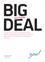

Four and a half years since negotiations began between Belgrade and Prishtina, the two remain far apart, and the rift in Kosovo over the dialogue is widening.



REPORT #3 December 2015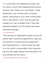"If I could have one telephone number and not have to carry three separate phone plans (Kosovo cell, Serbia cell, and fixed)…Three telephones, two or three sets of license plates, everything is a lot more complicated than it was before. I don't see any positive change, but I am confident that if they had asked the people, all this would have been resolved long ago."

**— V.N., SOUTH MITROVICA**

"This process of negotiations goes on but life cannot wait to political agreements, laws are not written for further political agreement, but implementation. Citizens have the right to a trial within a reasonable time, everyone has his own legal interest and they want it to be protected by the courts."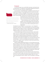# Foreword

For almost two years now, we at BIG DEAL have been monitoring the level of implementation of the agreements made between Belgrade and Prishtina in the four and a half years of Brussels-mediated dialogue.

In our first report, "Civilised Monotony?", published in November 2014, we researched the prospect of truly integrating the north of Kosovo into a state whose capital is Prishtina, not Belgrade. The title alludes to a short story written by British humourist Saki, based on his military service during the Balkan Wars of the early 1900s. The author was convinced that the era of war, med-

"Why are not talking about protecting human rights? If we are always talking about majority and minority communities, then Albanians and Serbs will always have problems." **– MILORAD RADIVOJEVIC, ZVECAN**

dling diplomats and uncertainty were behind the region, which would eventually would settle into "civilised monotony," just as most of the rest of Western Europe had.

More than 100 years later, his words have not been prophetic. But the deals between Kosovo and Serbia are about the process of bringing that civilised monotony to all of Kosovo, and to Serbia, something which has not happened yet.

We detailed the lack of progress in our second report, "Lost in Stagnation," published in April 2015. In the six months between the first and second report, there had been little change in the level of implementation of the agreements, because of months of elections in Kosovo, Serbia and in the EU, resulting in leadership changes in both countries and in EU institutions.

This time around though, the title is a bit more ominous. "Split Asunder" refers to the rifts in relations wrought by the dialogue, between Kosovo and Serbia, and also an internal division in Kosovo society. For several months already, Kosovo's Assembly has been blocked because of the opposition's protest against the 25 August 2015 agreement on the main elements of the Association of Serb-majority municipalities, and a new border demarcation deal with Montenegro. The level of real debate over the association in society is limited to "for or against," while in parliament the deal was presented without any provision for open debate.

Relations between Belgrade and Prishtina, too, have suffered serious damage in the fallout of Kosovo's failed campaign to join UNESCO, which Belgrade vigorously opposed. In the month since, the decision of Kosovo's president to ask the Constitutional Court for interim measures temporarily suspending the implementation of agreements related to the Association has been met with frustration from Belgrade, who complained that they overcame objections from their Constitutional Court in order to implement the agreements, and that they were not informed that the President would take this action.

The agreements reached in the course of these four and a half years have the promise to make the region look more like the civilised monotony of Saki's short story. There truly has been tremendous progress made so far, even if many looming questions remain. However, none of the progress is irreversible yet.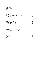# TABLE OF CONTENTS

| Acknowledgments                                           | 7  |
|-----------------------------------------------------------|----|
| <b>Executive Summary</b>                                  | 8  |
| Recommendations                                           | 11 |
| Introduction                                              | 15 |
| The Agreements                                            | 19 |
| Freedom of Movement of People and Goods                   | 26 |
| Insurance                                                 | 27 |
| License Plates and the threat of reciprocal measures      | 28 |
| <b>Transit and Air Travel</b>                             | 30 |
| <b>Train Travel</b>                                       | 31 |
| Mitrovica Bridge                                          | 31 |
| Suvi Do/Suhadoli and Kroi I Vitakut/Brdjani Neighborhoods | 32 |
| Customs and Free trade                                    | 33 |
| Changes Affecting Kosovo Serbs                            | 34 |
| Association/Community of Serb-Majority Municipalities     | 37 |
| Security                                                  | 45 |
| Police                                                    | 45 |
| Civil Profection Corps                                    | 46 |
| Judiciary                                                 | 47 |
| Paperwork: Diplomas, Civil Registry, Cadastre             | 51 |
| University of Pristina Relocated to Mitrovica             | 52 |
| Cadastre                                                  | 53 |
| Civil Registry                                            | 55 |
| Kosovo and the World                                      | 55 |
| Liaison Officers                                          | 59 |
| Telecom                                                   | 59 |
| Energy                                                    | 61 |
| Conclusion                                                | 62 |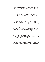## Acknowledgements

In 2014, BIRN Kosovo and Internews Kosova started the initiative BIG DEAL: Civic Oversight of the Kosovo-Serbia Agreement implementation to monitor the implementation of the agreements between these two countries, brokered by the European Union since 2011.

 The report was researched by Valerie Hopkins, Paulina Nushi, Una Hajdari, Jeta Xharra, Faik Ispahiu and Lura Limani of BIRN Kosovo and Internews Kosova, as well as journalists Sanja Sovrlic and Jelena Markovic of Advocacy Center for Democratic Culture (ACDC) in Mitrovica. It was written by Valerie Hopkins.

 This is the third in a series of "progress reports" focused on the implementation of the Kosovo-Serbia deals. It relies on interviews with more than 100 sources. Interlocutors range from top government decision-makers to ordinary citizens grappling with the changes to their lives. Sources include officials from the Kosovo and Serbian governments, representatives of the European Union, as well as primary sources (interviews) and secondary sources (articles, research and reports written by other organizations).

 BIRN Kosovo and Internews Kosova cooperate to produce the most-watched and award-winning televised debates and investigative programmes in Kosovo. In September 2012, Internews Kosova and BIRN Kosovo launched a new televised platform, "Tema." Its first episode brought together stakeholders from both countries in an unprecedented debate to discuss citizens' concerns about standards of living and the progress, relevance and interpretation of a handful of agreements reached up until then. Ten debates covering issues ranging from freedom of movement to cultural cooperation have been broadcast both in Kosovo and Serbia on major television channels.

This report was made possible by support from the British Foreign and Commonwealth Office and the Rockefeller Brothers Fund.

At this time, we must note that BIG DEAL does not necessarily endorse every agreement reached between Serbia and Kosovo. However, we believe that the process must be monitored and reported on a regular basis to ensure transparency and accountability of the dialogue process and of Kosovo and Serbian institutions, as well as of the European Union as facilitator and guarantor of implementation.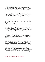## Executive summary

The Brussels-sponsored dialogue between Kosovo and Serbia began more than four and a half years ago, and has continued through three governments in Serbia and two in Kosovo. There have been almost 40 rounds of high-level dialogue, not to mention countless rounds of technical negotiations. Much is on its way to being accomplished, but none of the progress is irreversible. As time passes and full implementation looms larger, real change still feels far away. This year, in February, March and August, concrete steps have been agreed that could pave the way for implementation of the portions of the 19 April 2013 agreement, which had been opaque and undefined. Now there can be little excuse by politicians for non-implementation, and the coming period will truly be a make or break time for the dialogue.

However, one of the key deals –indeed the crux of the 19 April 2013 agreement – a new association/community of Serb-majority municipalities, remains delayed.

Sometimes it seems that both sides are not fully committed to a process and are rather using it to gain political points both in European and local political arenas. They have committed to do what is necessary, but at some future point, maybe next year, or the year after, or when it is feasible. In the meantime, citizens across Kosovo are growing impatient and in some cases, nervous.

"Nothing good has come out of the Brussels agreement and all that the Serbian side has agreed to," says Milorad Radivojevic of Zvecan. "I do not see that it so far has brought any Serbs, north nor south of the Ibar, anything concrete."

On the other hand, Hana Marku, from Prishtina, worries that the agreements are giving Belgrade too much power inside Kosovo.

"I'm not against a Serb association of municipalities, but I am against an entity within the country that will be funded and directed by Belgrade. That's the last thing Kosovo needs."

There has been some undeniably good progress: Kosovo has finally signed a Stabilisation and Association Agreement (SAA) with the European Union and Serbia is set to open three chapters of its EU accession negotiations by the end of 2015. Progress towards accession for both countries (although Kosovo's membership prospects are in any case currently blocked by the 5 EU member states that do not recognise it) will of course be linked to forward movement in implementing the agreements made in Brussels. However, among the first chapters Serbia will be opening is chapter 35, which deals with good neighbourly relations with Kosovo. Judging by the harsh reaction of the Serbian Prime Minister's cabinet to the opening benchmarks in the Chapter 35 screening report received from Brussels, most of which is simply to implement the agreements reached with Kosovo, the process is likely to be long and difficult.<sup>1</sup>

However, the dialogue has now created so much division within Kosovo

<sup>1</sup> See PM Vucic's objections to the screening report conclusions here: http://europeanwesternbalkans.com/2015/10/15/ten-contentious-points-of-eus-draft-resolution/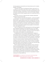that many people are concerned that such internal divisions are the 'collateral damage' of the dialogue.

"Sometimes I ask myself if this dialogue with Serbia is really worth it if it is costing us so much division within Kosovo society," says Besa Luzha of the Friedrich Ebert Stiftung. "This dialogue is the reason why parliamentary normality has been completely blocked in Kosovo. How can we be ready to dialogue with Serbia if we are not able to dialogue locally first, our government with the opposition?"

At this point, only four of 17 deals have been completely implemented, although two more are almost there.

The key component of the 19 April 2013 agreement – and the most awaited by Kosovo Serbs – is the statute for the Association of Serb-majority Municipalities (ASM). Progress seemed imminent after a 25 August deal on the main elements of the body stipulated that a statute would be ready before the end of the year. The recent decision of the Kosovo Constitutional Court to suspend implementation of the deal until mid-January, while it assesses the constitutionality of the principles agreed in Brussels, has put progress on the Association, and on other agreements, on hold.<sup>2</sup>

There is no change since the last reporting period six months ago regarding the four agreements assessed as fully implemented: return of civil registry books, the use of customs stamps, the conduct of November 2013 local elections in the four northern municipalities - held there for the first time under the Kosovo system, and the adoption of an implementation plan.

Two agreements are in the final state of implementation: integration of former Serbian Ministry of Internal Affairs (MUP) employees in northern Kosovo into the Kosovo Police, and the integration of members of Serbia's Civil Protection service in northern Kosovo into relevant Kosovo institutions. The agreement on Freedom of movement has been more or less implemented, but such movement is not as free or as easy as it should be, and the use of illegal border crossings in north Kosovo is still common.<sup>3</sup> While the transfer of the cadastre (land registry) books from Serbia to Kosovo is well on its way, the necessary law remains stalled in Kosovo parliament for two years now, and human rights experts have raised some concerns about its provisions.

Efforts for regional representation and cooperation continue, and Kosovo became a permanent participant in RACVIAC (the Centre for Security Cooperation) and joined MARRI (Migration, Asylum, Refugees Regional Initiative). However, as the EU mentioned in its December 2015 progress report for both countries, Serbia "needs to remain committed to the continued implementation of the agreement on representation and participation of Kosovo in regional forums." Kosovo spent too many of the resources it had available for regional involvement on its failed UNESCO bid.

<sup>2</sup> The 10 November decision is available here: http://www.gjk-ks.org/repository/docs/gjk\_ ko\_130\_15\_ang.pdf

<sup>3</sup> This is mentioned in the 2015 EU progress reports for Kosovo and Serbia.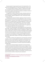New plans agreed in August paved the way for the implementation of the telecom and energy agreements, but there have already been hiccups in both.

Per a new plan agreed in Brussels in February, it seemed that the integration of the judiciary would be completed by the end of the year, but this has been stalled for several months because of disputes over physical locations of courts and negotiations about support staff.

The agreement on diploma recognition has been completely stalled since summer 2014, which is an egregious problem that both parties should work to fix immediately. Despite two agreements in 2011, the discussions remain on-going in Brussels.

Transparency has improved somewhat, especially on the part of the European Union External Action Service, which published the results of the August 2015 negotiations. The Kosovo Prime Minister's Office has published all of the agreements on its website except for the February agreement on justice, which is not on the Ministry of Justice's website either.<sup>4</sup> This summer, the Serbian Office for Kosovo has put up the text of the agreements as well.<sup>5</sup> Unlike the Kosovo government website, Serbia has only put the texts of the agreements, not the signed and dated PDFs of the actual agreements.

The time that is elapsing between reaching agreements and implementing them makes the deals vulnerable to further delay because of external political factors. During the failed campaign for Kosovo's membership in UNESCO in November, heated rhetoric coming out of Prishtina and Belgrade severely damaged the little trust that has been built in the past four and a half years. The failure is the first such formal setback for Kosovo's otherwise growing international recognition since the declaration of independence in 2008, and shows that while parties might be able to agree on some things, real dialogue and trust is very far away.

On 8 October, members of the opposition bloc set off tear gas in the Kosovo Assembly, as part of a protest against the Association of Serb-majority municipalities and a recent border demarcation agreement with Montenegro. Since then the parliament has been the scene of repeated tear gas bombs, pepper spray, cursing, and protest banners. The months-long political blockade has frustrated Serbs.

Some see the continuing blockage of parliament's work and worsening polarisation among the Kosovo Albanian political class as a legacy of the controversial summer 2014 Constitutional Court decision that prevented a coalition of four parties that commanded a parliamentary majority from assuming power. That coalition included Vetevendosje!, which had made discontinuation of the Prishtina-Belgrade dialogue a condition of its participation, and which has since been at the centre of actions to disrupt the work of parliament.

<sup>4</sup> You can find all of the agreements on the Kosovo PM's website here: http://www.kryeministri-ks. net/?page=2,253

<sup>5</sup> The agreements can be found here on the website of Serbia's Office for Kosovo and Metohija: http://www.kim.gov.rs/eng/pregovaracki-proces.php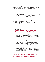All of this is occurring in the aftermath of mass exodus from Kosovo. Between November 2014 and March 2015, an estimated 70,000 Kosovars, fed up with the situation at home, used illegal means to get to Western Europe and sought asylum.<sup>6</sup> While most are slowly being returned to Kosovo, many remain in asylum centres there, unsure of what awaits them at home. Most of these families paid exorbitant fees to traffickers to travel via Serbia to Western Europe. At the time, there was little cooperation between the Serbian and Kosovan police forces. The exodus was one of the many reasons why Kosovo's membership in Interpol is desirable, to crack down on trafficking rings and illicit business. However, after the failure of the UNESCO bid, it will be hard to gain membership to this body, a situation harmful not only for Kosovo's security, but for the stability of the region.

At this point, all parties have assessed the coming period as a time for implementation, including the EU facilitators.<sup>7</sup> No new agreements are on the table, though several topics have been floated by both sides. Among others, Kosovo wants to discuss missing persons, while Serbia wants to discuss protection of cultural and religious heritage. The opening of new topics for negotiation will depend on the implementation of the existing agreements, which will likely consume the coming year.

# Recommendations For the governments of Kosovo, Serbia and the international community - the EU in particular:

- Find an urgent resolution to the problem of mutual diploma recognition that will enable all citizens to have equal access to job opportunities. Kosovo institutions must address the issue of quality education for Serbs and Belgrade needs to muster the political will to allow Kosovo Serbs to be fully integrated into the Kosovo education system.
- The recent agreement on the main elements of the Association/Community describes the future body as promoting "the interests of the Kosovo Serb community in its relations with the central authorities." Make sure that this body has a legally binding role to care equally for the other communities who are living in the relevant municipalities.
- Do not allow negotiations on the statute of the Association/Community to delay integration of Kosovo Serbs into all levels of the Kosovo government. Develop and publish a timetable with deadlines.
- Since misinformation and ambiguity about what is being decided creates or widens gaps between communities and increases mistrust between people and institutions on both sides, it is commendable that the EU was very active in sharing information about the deals reached

<sup>6 9</sup> September 2015, "Balkan asylum seekers face tougher times as Germany clamps down," Reuters. http://uk.reuters.com/article/2015/09/09/uk-europe-migrants-balkans-idUKKCN-0R91ZR20150909

<sup>7</sup> Interview with member of High Representative of the Union for Foreign Affairs and Security Policy/Vice-President of the Commission (EU HRVP) Mogherini's team in October 2015.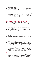in August, but all information should be shared on a dialogue-related subset of the EEAS website.

- Support and facilitate efforts by civil society and youth organizations promoting cultural exchange between Kosovo and Serbia.
- Truth-seeking and truth-telling mechanisms to deal with the violent past should be part of the dialogue. Ensure commitments from both parties to disclose their archives and to support the mandate of RECOM, the regional commission for the establishment of facts about war crimes and other serious human rights violations committed in former Yugoslavia from 1991 through 2001. Establish a neutral Kosovo expert group to review history textbooks in Kosovo, and do the same in Serbia.

# For the Governments of Kosovo and Serbia:

- The governments of Kosovo and Serbia should regularly reiterate their commitment to the Brussels dialogue process. Leaders should say forthrightly that the implementation of the agreements is good for all of their citizens, and not portray them merely as a burden imposed by the EU, necessary only for the respective country's advancement in the accession process.
- Hold joint press conferences when possible to avoid the regular occurrence of conflicting messages after deals have been reached.
- Improve communication at the highest levels to discuss issues of mutual concern related to the dialogue process. Both prime ministers announced a direct hotline earlier in the year, but it is apparent it is not being used.
- Refrain from using inflammatory and rude language, which strains the process and incites citizens.
- Negotiation teams should set up regularly (monthly) meetings with media and civil society for briefings on the progress in the implementation of the agreements.
- Both governments' relevant agencies should conduct a comprehensive audit of employment in Serbian-run institutions across Kosovo. This should be done during the process of setting up the Association/Community of Serb-majority municipalities.
- Serbia should encourage Kosovo Serbs to seek employment in Kosovo institutions, especially outside the ministries they traditionally work in (Ministry for Communities and Return, Ministry of Local Self-Government), and participate across the spectrum of agencies.

#### For Kosovo:

• Kosovo's opposition should use the parliament to engage in meaningful discussions about the obligations Kosovo agreed to in Brussels, rather than destabilizing the parliament to the extent that prevents true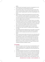debate.

- The government should explain the points of the agreement to its citizens to allay fears over the Association/Community.
- The government needs to shift its political discourse and start reaching out to its Serb citizens. Outreach to Kosovo Serbs should be a top priority instead of negotiating with local Serbs through Belgrade or the EU/US.
- Because Serbs in northern Kosovo boycotted the most recent census, there is insufficient accurate information how many Serbs live in Kosovo. The government should undertake the necessary efforts to determine how many Serbs live in Kosovo and where, and use this as a basis for future budgets, projects and activities.
- There are substantial laws that exist to protect Kosovo's non-majority communities, but there is a lack of coordination. Reinvigorate the Office of Community Affairs within the Prime Minister's cabinet to help coordinate. The office should engage in detailed tracking of the employment levels of Serbs and non-Serb minorities in Kosovo institutions.
- Offer Albanian and Serbian language classes to all government employees and create incentives for studying whichever language is non-native.
- The Assembly should also adopt the law on the creation of the Kosovo Property Comparison and Verification Agency (KPCVA) as agreed in Brussels so that the cadastral documents can be transferred from Serbia.
- Kosovo law enforcement bodies should seek formal relationships with Interpol and Europol, and submit a complete and detailed application for membership in Interpol, while requesting that the EU Council of Ministers include Kosovo in the list of third states and outside organizations with which Europol should seek strategic and operational agreements, for the sake of international police cooperation, for the security of Europe, and to put Kosovo on an equal footing with other candidate and potential candidate countries.

# For Serbia:

- While the first report on the state of play in the implementation of the dialogue, published in April, is a good step, these reports about the level of implementation of the agreements should be published more frequently.
- The Serbian Assembly should ratify the so-called Brussels agreement.
- Given that the Serbian Constitutional Court has found that some agreements made in Brussels were unconstitutional, Serbia must find legal solutions for the implementation of agreements that are sustainable and can withstand legal challenges. While it is good that Serbia has adjusted its regulatory framework related to these agreements, never-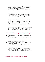theless as the EU reminded Serbia in its progress report, it has not done so yet for the freedom of movement agreement, and verdicts on the energy and telecoms agreements are still pending.

- Encourage a culture of local Kosovo Serb participation in the Kosovo Government, with more than one dominant party.
- Make a serious effort to clamp down on illegal border crossings in the north of Kosovo.
- The parliament should openly discuss the report of its Investigative Committee ("Anketni Odbor") on Kosovo and publish the concrete results of its investigation into the sources of funding given to Kosovo from 2000 to 2012.8
- Encourage Kosovo Serb leaders to participate in institutions that are not only related to communities or minorities, but also relevant to all citizens. Encourage local Kosovo Serb leaders to speak for themselves without checking statements with Belgrade.
- Carefully shut down the Privremeno Veće, or temporary councils, organs of Serbian municipal governance in Kosovo, while ensuring livelihoods for the people employed by them. Encourage those who remain employed in the Serbian system to transfer to the Kosovo system, while ensuring that they will retain their right to receive their pensions from Serbia, including the years they worked in the Kosovo system.

# International Community, especially the European Union:

- Fulfil the financial pledges to fund development projects in northern Kosovo.
- Consider establishing its own dialogue-related information portal, or at least dedicating a page of the EEAS website, collating there all relevant materials. Continue to support and encourage further economic development, and implement commitments for funding.
- Consider publishing regular "progress reports" on the state of implementation of the agreements.
- Mandate greater transparency regarding the personnel who are members of the negotiating committees on both teams, and demand greater inclusivity in the composition of those teams.
- In light of the drawdown of the EULEX mission, and Kosovo's status as a potential candidate country for EU accession, the Council of the European Union should propose Kosovo as a candidate for membership in Europol.

<sup>8</sup> For more on this topic see: http://www.blic.rs/Vesti/Politika/457889/Anketni-odbor-Patriote-sa-Kosova-se-bogatile-potkradajuci-drzavni-budzet-Na-sta-je-otislo-3-milijarde-evra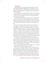# Introduction

Relations between Kosovo and Serbia have been fraught since long before the 1998-1999 war and the 2008 declaration of independence. In 2011, Kosovo and Serbia began discussing bilateral technical issues. As a result, the exchange of goods and movement of people has become more frequent and relatively inexpensive.

On 19 April 2013, Kosovo and Serbia signed a landmark "First Agreement of principles governing the normalisation of relations," which set the framework for Kosovo to finally consolidate its control over the restive, predominantly Serb northern part of the country.

The Brussels-brokered dialogue seemed to be slowly but steadily framing functional, if not harmonious, relations between the two. Due in large part to progress in the dialogue, Kosovo signed a Stabilisation and Association Agreement (SAA) with the European Union in Strasbourg on 27 October 2015. Serbia is set to open the first of its chapters for EU accession, before the end of the year.

This came on the heels of movement in 2015 after almost a year of complete stagnation in the dialogue due to elections in Serbia, Kosovo and for the European Parliament, which saw leadership change in both countries and the European External Action Service. The first part of 2015 promised forward movement. Two deals were signed on integrating the Judiciary and dismantling the Serbian Civil Protection service in northern Kosovo in February and March respectively, followed by some implementation. Then at the end of a long, hot summer four agreements, referred to by EU High Representative Mogherini as "a turning point," fleshed out plans for four previously blocked issues: energy, telecommunications, the Association of Serbian-majority municipalities and the contentious issue of the steel bridge dividing north and south Mitrovica.

The following months brought division and violence to Prishtina's streets and parliament, as the three parliamentary opposition parties tried to convince Kosovo's leadership to abandon the agreements on creating the Association, as well as a border demarcation agreement with Montenegro. Their violent tactics have included pelting eggs at ministers, setting off tear gas, and wielding pepper spray - in the parliament and on the streets.

This has made Kosovo's Serbs feel insecure, damaged Kosovo's image, and generated bad feelings between Belgrade and Prishtina.

Kosovo's bid for membership in UNESCO was also a major source of contention between the two countries. Prishtina ran a careful, and largely positive campaign for membership, eager to boost its international legitimacy and to genuinely reap the benefits of UNESCO membership. Belgrade was initially quiet but eventually mounted a concerted counter-campaign. Belgrade, and members of the Orthodox clergy like Father Sava Janjic, cited concerns over a draft law on cultural heritage that was put forward in the Kosovo Assembly in April - that the law sought to nationalise the property of the Serbian Orthodox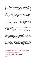Church.<sup>9</sup> Belgrade has since maintained that it wanted the issue of religious heritage brought up in the Brussels dialogue, while Prishtina said that there are already enough existing mechanisms in place to ensure that the Serbian Orthodox Church's property thrives. Foreign Minister Ivica Dacic escalated tensions when he said that admitting Kosovo would be tantamount to admitting ISIS.<sup>10</sup>

Kosovo lost by three votes, and in the meantime a lot of animosity between people from both countries was generated. The failure of the bid after concerted Serbian efforts to thwart it had many Kosovars believing that Kosovo should not seamlessly continue dialogue with Serbia until some assurances had been given, making the idea of a continued dialogue without any concessions from Serbia unpopular. A group of civil society activists sent an open letter<sup>11</sup> calling on the government of Kosovo to set new conditions for the continuation of the dialogue, and calling on the EU to ensure conditions for equal dialogue. (The civil society members also called for accountability within Kosovo for the failed bid, and for the continued protection of cultural heritage in Kosovo.) The months-long media war was toxic to relations at the high level and renewed enmity among citizens as well.

Indeed, the 19 April 2013 agreement is at the very crux of the on-going destabilization of the parliament by the opposition with tear gas, pepper spray, and divisive rhetoric.

"We will hinder every parliamentary session that will be organised by the Kosovo Government," said a representative of Vetevendosje! on 9 November, threatening to escalate the situation until the deal is withdrawn. "We will not allow holding of any regular session until the withdrawal of the signatures from the Agreements reached in Brussels, because they are detrimental."12 The other opposition parties in the coalition, in a significant policy change, went along with Vetevendosje!'s position. AAK leader Ramush Haradinaj had been in support of the deal in 2013 and said that the proposed Association seemed to be in line with Kosovo's constitution.<sup>13</sup>

This started after 25 August, when in Brussels the Kosovo and Serbian governments signed four key deals that fleshed out the 2013 agreement, focused on the main elements of the future Association of Serbian-majority municipalities, deals on creating a country dialling code for Kosovo and energy distribution, and a resolution for the barricade on Mitrovica bridge.

Serbia's negotiator Marko Djuric was quick to announce that Serbs had "won five to zero."14

12 Frasher Krasniqi, Vetevendosje! spokesman, 9 November 2015. 13 See: http://top-channel.tv/lajme/artikull.php?id=252302

<sup>9</sup> Judah, Tim. "Fr. Sava: Time to Go Forward and Start Dialogue," Balkan Insight, 13 November 2015. http://www.balkaninsight.com/en/article/fr-sava-time-to-go-forward-and-start-dialogue-11-12-2015

<sup>10 &</sup>quot;Admitting Kosovo to UNESCO would be same as admitting ISIS," Tanjug, 4 October 2015. http://www.tanjug.rs/full-view\_en.aspx?izb=205909

<sup>11</sup> For more on the letter see here: http://www.kosovotwopointzero.com/en/article/1950/there-islife-after-unesco-and-much-work-to-do-too and http://koha.net/?id=27&l=83641

<sup>14</sup>http://www.b92.net/info/vesti/index.php?yyyy=2015&mm=08&dd=25&nav\_category=11&nav\_ id=1031255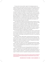This was a bid to shore up Serbs' support for the dialogue process, because according to recent polling, only ten per cent of Kosovo Serbs in the four northern municipalities support the Brussels Agreement, though 56 percent of respondents believe Kosovo Serbs should participate in Kosovo institutions.15

At the same time, Serbia had been for months dealing with the influx of thousands of migrants and refugees from the Middle East, Asia and Africa via its border with Macedonia, who were all seeking to pass as quickly as possible into Hungary, and after mid-September, to Croatia. Serbia won plaudits from Berlin and Brussels for its comparatively humane treatment of the migrants. Belgrade expended a lot of energy working with hostile neighbour Hungary, which erected a fence on Serbia's border to keep migrants out, and on coping with former enemy Croatia to overcome disagreements over the path of migrants and eventually send them on their way.

It was hoped that the UNESCO bid would inject positive momentum into an autumn in Kosovo that was becoming dominated by protests inside and outside of the parliament. The opposition coalition initiated a petition against the agreement on the Association/Community of Serb-majority municipalities and the border demarcation agreement with Montenegro, and received more than 200,000 signatures. Both deals were EU preconditions for Kosovo to receive its SAA. MPs from the opposition coalition vowed to block parliament until the government backtracked on the agreements it had signed.

On 13 October opposition activists attacked a police station in Prishtina after their former party president and current MP Albin Kurti, was arrested for having set off tear gas in parliament. Kurti was released after three hours,<sup>16</sup> but parliament continued to be disrupted. Any sessions are now held in a room above the main plenary area.

Meanwhile in Serbia, leaders began complaining that Germany was imposing new conditions for EU accession, something the German ambassador vehemently denied. President Tomislav Nikolic told a group of German journalists in Belgrade on 15 October that recognition of Kosovo's independence by Serbian officials would cause a civil war in the country.

Marko Djuric told TV B92 on 14 October that while Germany had not urged Serbia to officially recognise Kosovo as an independent state, it had introduced some conditions that Belgrade saw as tantamount to informal recognition of Prishtina's independence.

The next day, Serbian wire service Tanjug published Prime Minister Vucic's response to a document from the European External Action Service about accession - Chapter 35, which will deal with Serbia's relationship with Kosovo. In it, PM Vucic raised ten objections, $17$  including that "Discontinuation of financial support to Serbian structures is requested, including provisional municipal bod-

<sup>15</sup> Views of the citizens in north Kosovo," AKTIV & Center for Peace and Tolerance, November 2015. 16 http://www.balkaninsight.com/en/article/kosovo-police-arrests-opposition-mp-11-18-2015 17 See full text here: http://europeanwesternbalkans.com/2015/10/15/ten-contentious-points-ofeus-draft-resolution/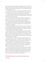ies, which would leave around 5,000 people without jobs and lead to erosion of Serbia's authority in Kosovo-Metohija." Another gripe is that the document calls on Serbia to accept Kosovo seals and headers in official correspondence, which read "the Republic of Kosovo."

Prime Minister Vucic was very vocal that he would not "give up" Gazivoda dam in Zubin Potok in north Kosovo, even though the document requests finding a mutually acceptable solution as a precondition to EU membership.

The Prime Minister also expressed his dissatisfaction that the term used was "normalisation of relations with Kosovo," rather than Prishtina, as has been the official name of the process thus far.

On 31 October, Kosovo's President Atifete Jahjaga sent a request to the country's Constitutional Court for interpretation of the constitutionality of the agreements, in the hope that it would end the blockade of parliament.

The court decided on 10 November that the President's request to temporarily suspend all activity related to the implementation of the agreement was in the public interest, and said it would decide on the constitutionality of the principles by 12 January 2016.

Vetevendosje! immediately claimed that they were victorious, because progress was annulled, however they were skeptical of the outcome, saying the court is an institution captured by a political clique and saying that they would not stop their activities until the deal was annulled.

Serbian Foreign Minister Ivica Dacic said the delay is a "threat to regional security." Members of Srpska Lista, the Belgrade-backed Serb party in Kosovo, said they might leave the governing coalition if there are not efforts to form the Association. On 16 November, Kosovo's Minister of Local Self-Government Branimir Stojanovic, part of the Belgrade-backed Sprska Lista said that breaking off dialogue was also on the table:

"The only option that is out of the question is to give up on living in this area. Everything else is an option," he told media. "When we exhaust all possibilities for reasonable dialogue that makes sense, then I believe that, just as someone had decided to talk, a decision can also be made not to talk."18

On 18 November more riots erupted after the Basic Court in Pristina issued arrest warrants for four members of the Kosovo Assembly, Vetevendosje!'s Albin Kurti, Albulena Haxhiu and Faton Topalli, and Donika Kadaj-Bujupi, a member of the Alliance for the Future of Kosovo (AAK).

The number of people on the streets in these protests has never exceeded a thousand, usually only several hundred, which means that there is no real threat of mass protest against the agreements, though frustration is building. However, it is telling that the opposition parties boycotted the vote to ratify Kosovo's SAA. Hitherto, it has always been the case that all parties in the country have been committed to Kosovo's European future.

<sup>18 &</sup>quot;Serbs "could leave" govt. over failure to implement deal," B92, 16 November 2015. http://www.b92.net/eng/news/politics.php?yyyy=2015&mm=11&dd=16&nav\_id=96062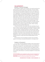# THE AGREEMENTS ROUND 1: Technical Dialogue

When Belgrade's negotiator, Borko Stefanovic, who was then serving as the political director for Serbia's Ministry of Foreign Affairs, and Kosovo Deputy Prime Minister Edita Tahiri began meeting in March 2011, it was the first time Serbia and Kosovo had entered into negotiations since Kosovo's 2008 declaration of independence. The meetings were regularly front-page news, and they were wildly unpopular among the respective publics at home. The negotiators signed their first agreements that July, about Freedom of Movement and Civil Registry Books. That same month, violence flared in north Kosovo as Kosovo Police tried to take control of the border posts there and to impose control on the borders, which they were able to do for barely a day before withdrawing. Kosovo Serbs in the north believed that if Kosovo personnel began to hold positions in northern Kosovo, especially at the border, their hopes for partition would be scuppered. They set up tens of barricades on the roads and NATO peacekeepers had to intervene to stabilise the situation. Weeks of fighting between Kosovo Serbs and NATO KFOR ensued.

 A Kosovo Police officer, Enver Zymberi, was killed, reportedly with a gunshot to the head. Six others were injured. The barricades persisted even through autumn, as Kosovo and Serbia negotiated two more deals, on cadastral records and customs stamps. The dispute simmered for months and came to ahead once again at the end of November 2011 which saw violent clashes with Serbs. Two German KFOR soldiers were shot and wounded along with eight Austrian peacekeepers. These events crucially led Germany to take a tough stance on Belgrade and to insist on improved relations between Kosovo and Serbia, which eventually resulted in the high-level political dialogue between the Prime Ministers.

First the technical round of the dialogue continued. Kosovo and Serbia agreed to the following, summarised and presented in chronological order:<sup>19</sup>

# Freedom of Movement:20

On 2 July 2011, both parties agreed that residents of each should be able to travel freely "within or through the territory of the other." This would be facilitated by an ID card system for 'cross border/boundary' travel of residents from the other party, with the use of entry/exit documents. Each agreed to enable residents of the other party to travel freely within or through the territory of the other. The parties also agreed to interim solutions for purchasing temporary vehicle insurance, while working for a commercial arrangement on mutual vehicle insurance.

<sup>19</sup> The official language for each of the agreements is English. The full text of the agreements can be found on the Kosovo government website here: http://www.kryeministri-ks.net/?page=2,191 and on the Serbian government website here: http://www.srbija.gov.rs/kosovo-metohija/index. php?id=82315.

<sup>20</sup> http://www.kryeministri-ks.net/repository/docs/agreement\_0210\_freedom.pdf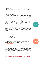#### Insurance:

On 23 June 2015, the parties agreed that there is no longer a need to purchase auto insurance at the borders.

# Mitrovica Bridge:

 The Mitrovica Steel Bridge has become a symbol of the division of Kosovo and of Mitrovica in particular. It was demolished during the war and rebuilt in 2001, but it became a dividing line between northern Kosovo and the rest. In 2011 a barricade was erected on the northern side by Serbs protesting the extension of Kosovo Customs to northern border points. Overnight in mid-June 2014 the barricade disappeared, and it caused controversy as cars from the south began to drive into the north. Directed by Belgrade, north Mitrovica mayor Goran Rakic installed a so-called "Peace Park" with grass and trees in concrete pots that blocked all but the sides of the bridge, used for bicycle and pedestrian traffic.

On 25 August 2015, both sides agreed that the EU would sponsor a project to close off the "Peace Park," and 'revitalise' the current structure by the end of June 2016. According to the wording of the agreement, it is to be "open to all traffic."

In tandem, the central street of north Mitrovica, Kralja Petra (King Peter) is to be pedestrianised by the same deadline.

#### Status: Partially completed

#### Civil Registry:<sup>21</sup>

Also on 2 July 2011, both parties agreed that a tripartite committee consisting of civil registry experts from both sides and chaired by the EU's rule of law mission in Kosovo, EULEX, would identify any gaps in the pre-1999 civil registry books. Serbia agreed to make copies of the original registers, which, upon certification by EULEX, would be returned to Kosovo.

Status: Completed

#### Cadastre:<sup>22</sup>

 On 2 September 2011, the parties agreed to ensure a full cadastral record for Kosovo by a similar process as delineated in the civil registry agreement. Tripartite teams, chaired by EU representatives from the External Action Service (EEAS), and with cadastral experts from both countries, were to monitor the work of technical agency. The agency was to identify the gaps in the pre-1999





<sup>21</sup> http://www.kryeministri-ks.net/repository/docs/agreement\_0210\_civil\_books.pdf 22 http://www.kryeministri-ks.net/repository/docs/agreement\_0210\_cadastral\_records.pdf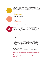# **some progress**

cadastral documents. The documents were to be scanned and verified and turned over to the EUSR. The returned documents would be compared with the existing Kosovo cadastre by a technical agency to be created in Kosovo. Disparities are to handled by an adjudication mechanism, which is to be a commission of international experts and experts on property and cadastre in Kosovo. The Kosovo Supreme Court is supposed to be the final appeal body for decisions on property ownership arising from disparities in the cadastres.

Status: Some progress

Customs Stamps:23



On 2 September 2011, parties agreed acceptance of Kosovo Customs stamps and promised to ensure the freedom of movement of goods in accordance with CEFTA, the Central European Free Trade Agreement.<sup>24</sup>

Status: Completed



Mutual Acceptance of Diplomas:<sup>25</sup> On 21 November 2011, both sides agreed to ask the European University Association to certify university diplomas for use by the other, either for higher education or employment in the public sector. The final line of the agreement says "The EU will make every effort to ensure implementation of above conclusions by January 1, 2012." On 29 September 2015 both parties agreed to commit to recognize the di-

plomas of the other country within five months and to each create a list of their own accredited universities, for the purpose of transparency.

Status: No progress

#### IBM:26

In the EU context, IBM stands for 'Integrated Border Management', and is a key component of membership. Because Serbia does not recognise Kosovo, it prefers the term 'Integrated Boundary Management'.<sup>27</sup> In the negotiations, only the acronym 'IBM', which is considered "status-neutral", was used. On 2 December 2011, the parties agreed to apply the EU concept of IBM, agreeing to gradually set up joint border points "as soon as practically possible". They agreed to have a balanced presence of each side's personnel, and not to show any state symbols. The parties also agreed that EULEX officials would be present at six border crossings.

On 4 September 2014, both parties reached an agreement with the EU to

<sup>23</sup> Full text: http://www.kryeministri-ks.net/repository/docs/agreement\_0210\_customs.pdf 24 In 2006, Serbia, under the framework of CEFTA, accepted Kosovo as an independent customs area.

<sup>25</sup> Full text: http://www.kryeministri-ks.net/repository/docs/agreement\_0210\_university\_diplomas.pdf

<sup>26</sup> Full text: http://www.kryeministri-ks.net/repository/docs/agreement\_0210\_ibm.pdf

<sup>27</sup> While Kosovo calls the line between itself and Serbia a border, Serbia refers to it as an 'administrative line.'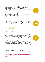build permanent facilities at the crossing points, which will be financed through 21 million euros granted in the EU Instrument for Pre-accession funds for Kosovo and Serbia (3 Border/Boundary Crossing Points each).

On 21 May 2015, Kosovo and Serbia agreed to open two new IBM crossing points (BCPs), one near Serbia's partly Albanian-inhabited Presheva/Presevo Valley and Medvedja/Medvegja area, at Kapia/Vrapce, and another in the Serb-inhabited north of Kosovo at Rajetici/Izvor. The first is hosted by Kosovo and the second by Serbia. According to the agreement, the BCPs are open 24/7, but customs functions only during the day.

Status: Some progress

## Regional Representation and Cooperation:28

On 24 February 2012, the parties agreed, on an interim basis, that Kosovo could participate in regional bodies, on the condition that its name appeared with an asterisk, with a footnote referencing UN Security Council Resolution 1244 and the International Court of Justice (ICJ) opinion on the Kosovo declaration of independence. They further agreed that any new agreements would feature Kosovo with the asterisk.

Status: Some progress

#### Telecommunications:29

On 8 September 2013, the parties agreed that the EU and the International Telecommunications Union, ITU, would allocate Kosovo its own three-digit dialling code, and migrate the three used by Kosovo (Serbia's and Slovenia's for landlines, and Slovenia's and Monaco's for mobile) by January 2015. Parties also agreed to harmonise the spectrum for Global System for Mobile Communications (GSM) and television signals, with both parties agreeing not to intentionally infringe the "border/boundary" of the other.

On 25 August 2015, both parties agreed to an implementation plan for the previous telecom agreement. Kosovo will be granted the code +383 by the ITU. Meanwhile, Kosovo will allow temporary authorization for mobile and fixed telephony to a new company, a subsidiary of a Serbian company, registered in Kosovo under Kosovo Law.

Status: Some progress

# Energy:<sup>30</sup> On September 8, 2013, the

parties agreed that their respective energy transmission bodies, KOSTT



**some progress**

> **some progress**

**22** / **BIG DEAL**

<sup>28</sup>Full text: http://www.kryeministri-ks.net/repository/docs/agreement\_0210\_representation.pdf 29 http://www.kryeministri-ks.net/repository/docs/Arrangements\_regarding\_Telecommunications\_September\_8\_2013.pdf

<sup>30</sup> http://www.kryeministri-ks.net/repository/docs/Arrangements\_regarding\_Energy\_September\_8\_2013.pdf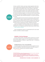of Kosovo, and EMS of Serbia, would sign a bilateral agreement within three months, establishing and regulating relations between the two transmission system operators. Both regulators were to issue licenses for trade (import, export, transit) and supply to their country's respective distribution companies. The parties also agreed to establish a new company under Kosovo law that would provide distribution services to the northern, Serb-majority municipalities. Kosovo and Serbia also agreed to, at a future time, find a common method for settling the claims both hold against one another for the use of transmission lines, agreeing to seek international arbitration if no solution came within six months.

On 25 August 2015, the Kosovar Electricity Transmission, System and Market Operator (KOSTT) signed a connection agreement with the European Network of Transmission Systems (ENTSO-E) and its members, which means that eventually Kosovo will control its own energy transmission lines and receive the fees incurred from letting other countries' companies use the lines.

As part of the agreement brokered in Brussels, two new companies, from a Serbian parent company, one for trading energy and one for supplying and distributing it, will be registered under Kosovo law and serve northern Kosovo. Status: Partially completed

Each of the agreements called for an implementation plan $31$  and an implementation committee to oversee its progress.

# ROUND 2: Political Dialogue

Baroness Catherine Ashton, the previous HRVP, brought the two countries' prime ministers together to agree on the "First Agreement on Principles Governing the Normalization of Relations," signed 19 April 2013.<sup>32</sup> It contained the following agreements:



**partially completed**

# Establishment of four municipalities

The parties agreed that municipal elections would be organised in the four northern municipalities in 2013 with the facilitation of the OSCE, pursuant to Kosovo law and in compliance with international standards.

Status: Completed

<sup>31</sup> Implementation plan for 19 April 2013 agreement is here: https://s3.eu-central-1.amazonaws. com/euobs-media/0807580ad8281aefa2a89e38c49689f9.pdf

<sup>32</sup> The official version of each of the agreements is in the English language. This document is available on the Kosovo government website here: http://www.kryeministri-ks.net/repository/ docs/FIRST\_AGREEMENT\_OF\_PRINCIPLES\_GOVERNING\_THE\_NORMALIZATION\_OF\_RELATIONS,\_ APRIL\_19,\_2013\_BRUSSELS\_en.pdf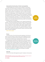# Association/Community of Serb municipalities

The parties agreed that once elections were completed, an Association/ Community of the 10 Serb-majority municipalities in Kosovo would be established, which will have "full overview of the areas of economic development, education, health, urban and rural planning," and other competencies as delegated by central authorities. Its membership is open to any other municipality as long as all members agree. It will be created by statute, on the same basis as the existing statute of the Association of Kosovo Municipalities. Participating municipalities "shall be entitled to cooperate in exercising their powers through the Community/Association collectively," in accordance with the European Charter of Local Self Government and Kosovo law. The body will have a representative role to the central authorities and will have a seat in the communities' consultative council for this purpose.

On 25 August 2015, the parties agreed to a set of "general principles/main elements" of the future Association/Community of Serbian-majority municipalities.<sup>33</sup> The document outlines the legal framework, objectives, organisational structure, relations with central authorities, legal capacity, budget and support, and more provisions. According to Edita Tahiri, the parties agreed in principle that on its basis a statute will be drawn up in parallel with a process of shutting down Serbia's remaining governance structures in Kosovo, but this has not been written in any public agreement.

Status: Some progress

# Police

The Kosovo Police, KP, will be the only police operating in the territory of Kosovo. All police working in northern Kosovo will be integrated into the KP and all salaries will be paid by that body. Members of other Serbian security structures will be offered a place in equivalent Kosovo structures.

One regional police commander will oversee the four northern Serb-majority municipalities (Northern Mitrovica, Zvecan, Zubin Potok and Leposavic). The commander will be a Serb, nominated by Kosovo's Ministry of Internal Affairs "from a list provided by the four mayors on behalf of the Community/Association". The ethnic composition of the regional police unit will reflect the ethnic composition of the four municipalities. A separate regional commander for Mitrovica South, Skenderaj, and Vushtrri will be created, but the regional commander of the unit covering the four northern municipalities will cooperate with other regional commanders.

Status: Partially partially completed

## **Security**

Point 8 of the 19 April 2013 agreement says that "members of other security

**partially completed**

**some progress**

<sup>33</sup> http://eeas.europa.eu/statements-eeas/docs/150825\_02\_association-community-of-serb-majority-municipalities-in-kosovo-general-principles-main-elements\_en.pdf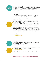# **partially completed**

structures will be offered a place in equivalent Kosovo structures." On 26 March 2015, the parties agreed on a mechanism to integrate former members of the so-called Civil Protection, a Serbian civil defence body represented in north Kosovo, and to give up their property to the Kosovo government for use. Status: Partially completed

# **Judiciary**

The parties agreed that existing judicial authorities would be integrated into the Kosovo system. The Appellate Court in Prishtina will establish a panel composed of a majority of Kosovo Serb judges to deal with all Kosovo Serb majority municipalities.

A division of this Appellate Court, composed of administrative staff and judges, will sit permanently in northern Mitrovica. Kosovo Serb judges will comprise a majority of each panel.

**some progress**

On 10 February 2015 both parties met in Brussels and agreed exactly how the structure of the judiciary would look. They agreed that the president of the court will be a Kosovo Serb from northern Kosovo. The court in North Mitrovica will have an appeals division with five Kosovo Serb judges and 2 Kosovo Albanian judges, while a Kosovo Serb will be appointed the vice president of the court of appeals in Prishtina. This court building will also house the serious crimes division for the entire region, which will be composed of four Kosovo Serb judges and four Kosovo Albanian judges. There are also specific numbers of employees of both Serb and Albanian nationality prescribed for each court and its branches.<sup>34</sup>

Status: Some Progress



**some progress**

# **Other**

Both sides also agreed that discussions on energy and telecoms would be intensified, and completed by 15 June 2013. Status: Partially completed

Both parties agreed that neither would block, nor encourage others to block, the other side's progress in their respective EU paths.

Status: Some progress

Finally, the parties agreed to establish an implementation committee in each countries, that would work with EU facilitators. The chief negotiator for

<sup>34</sup> This agreement has been published only in leaked form. The Kosovo Ministry of Justice has made it available to BIG DEAL, but it has not published the full text of the agreement online.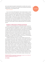each country heads the respective implementation committee. Each country's implementation committee has issue-specific sub-committees monitoring the implementation of each agreement made.

#### Status: Completed

In sum, since the April 2013 agreement, there has been progress on implementation, but no new topics have been opened. In order for normalisation to continue, the parties will need to begin discussions about dismantling Serbia's tax administration in the north. Additionally, the process of normalisation will continue to happen in tandem with a string of state enterprise privatisations sought by Prishtina, but contested by Belgrade. While not necessarily related to normalisation, both sides see privatisation of Mitrovica's Trepca mine, the Gazivoda power plant, and Brezovica ski resort as key employment providers for the future, and the fight for jobs will significantly affect the normalisation process.

#### Freedom of Movement of People and Goods

Freedom of movement between Kosovo and Serbia has been limited since the war, and especially after independence. $35$  However, thanks to the dialogue, it is improving, though not completely free in terms of financial and bureaucratic hurdles. The situation improved tremendously in May 2013 once the Freedom of Movement agreement that had been signed in 2011 started being implemented. Kosovars can travel with their government-issued ID cards, as well as UNMIK IDs and Serbian or Yugoslav documents. An agreement on mutual recognition of vehicle insurance was signed in June 2015. Its implementation, which began on 12 August 2015, has erased most of the cost, if not the hassle, of travelling by personal car from Kosovo to Serbia.

In 1999 the United Nations Mission in Kosovo (UNMIK) assumed control over issuing personal ID cards, travel documents, license plates<sup>36</sup> and Kosovo's representation in international trade. Yet Serbia did not normally permit entry with an UNMIK travel document. After Kosovo declared independence from Serbia in 2008, UNMIK ended these practices and newly-independent Kosovo began issuing documents. Customs stamps, which had once been "UNMIK Customs," became "Kosovo Customs". This resulted in an embargo on all Kosovo goods in Serbia. Kosovo passports, a symbol of nascent statehood, were also rejected by Serbia. Residents of Kosovo needed to enter Serbia with documents issued by UNMIK, Serbia, or Yugoslavia. Traveling with personal vehicles was also problematic: Serbia did not recognise driving licenses from UNMIK or Kosovo. Finally, in December 2011, a ground-breaking deal signed by Kosovo and Serbia entered into force. It allowed Kosovars without Serbian IDs to enter Serbia using their Kosovo ID cards. Until recently, however, they had to buy

# **completed**

<sup>35</sup> Kosovars who had not retained Serbian documents were not allowed to cross into Serbia until the agreement began being implemented, in December 2011. 36 These license plates have "KS" at the front.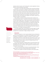expensive vehicle insurance, and if entering with a vehicle registered in Kosovo, they still must buy temporary license plates.

The situation is much better today, especially after removing the exorbitant insurance fees, but the hassle of changing to temporary Serbian license plates remains, which takes both time and money. There are regulations on which borders Kosovars can pass, and those who travel with their Kosovo ID must receive an entry document which they must also present when they leave Serbia. These documents used to be valid only for two weeks, now they allow for up to 90 days stay in Serbia. Only Kosovars must register in this manner, and exit is not granted if the paper is not proffered.<sup>37</sup>

There remains no solution for foreign nationals whose countries do not issue national identity cards.<sup>38</sup> If they did not enter Kosovo via Serbia, they cannot enter Serbia through Kosovo. These foreign nationals must enter Serbia via another country, like Macedonia or Montenegro, or fly through a third country, making travel more time-consuming and often more expensive. BIG DEAL has been informed of cases when foreign nationals (even those in the possession of a valid Serbian stamp) were refused entry to Serbia, before high-level intervention.<sup>39</sup> Resolving this is one of the requirements that the EU has put on Serbia as part of its Chapter 35 screening process.<sup>40</sup>



"This is one of the best deals that Kosovo has reached with Serbia." **-FATON ABAZI, DIRECTOR OF THE KOSOVO INSURANCE BUREAU (KIB)**

In its recent progress report, the EU pointed out that with regard to the IBM (Integrated Border/Boundary Management) agreement, Serbia must make a stronger effort to clamp down on illegal crossings in the north.<sup>41</sup>

#### **Insurance**

Mutual non-recognition of motor insurance between Kosovo and Serbia has been one of the key obstacles to cost-efficient travel between the two. Following adoption of an agreement on freedom of movement in July 2011, drivers entering Serbia with Kosovo number plates had to pay 105 euros a month - with the minimum rate set at one month. Those entering Kosovo with Serbian plates paid slightly less: 20 euros a week, 40 euros for 15 days, 80 euros for one month and 600 euros for one year.

On 23 June the Association of Serbian Insurers, UOS, and the Kosovo Insurance Bureau, KIB, reached a deal to recognise one another's insurance. It was facilitated by the Council of Bureaux, which regulates the international Green Card, valid in most of Europe.

"This is one of the best deals that Kosovo has reached with Serbia," Faton Abazi, director of the Kosovo Insurance Bureau (KIB), told BIG DEAL.

Kosovo is not a member of the Green Card system, which allows mutual

<sup>37</sup> If it is lost, the bearer of the document must report to the Serbian police.

<sup>38</sup> These countries do not issue national identity cards: Australia, Canada, Denmark, Ireland, India, Japan, New Zealand, Norway, the United Kingdom, and the United States.

<sup>39</sup> Incident in March 2015 at Merdare border crossing.

<sup>40</sup> See point 9: http://europeanwesternbalkans.com/2015/10/15/ten-contentious-points-of-eusdraft-resolution/

<sup>41</sup> Kosovo\* 2015 Report, 10 November 2015, page 29. Accessed via http://ec.europa.eu/enlargement/pdf/key\_documents/2015/20151110\_report\_kosovo.pdf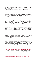acceptance of automotive insurance in most of Europe, and this agreement has not changed that, so cars coming to Kosovo from countries other than Serbia will still need to pay.

Implementation was planned set for 1 August, but days before it was set to start, on 24 July, the deal seemed to collapse.

Prishtina officials said that they delayed implementation because the agreement meant that Serbia would be obliged to grant entry to vehicles from Kosovo with licence plates with 'RKS' (Republic of Kosovo) insignia. Belgrade officials insisted that RKS license plates are against their 'status-neutral' policy and said they never signed an agreement which could potentially mean recognition of Kosovo's independence. Indeed, the agreement makes no mention of licence plates.

After another meeting in Brussels on 5 August, implementation finally began on 12 August. Drivers with cars registered in Kosovo use third party liability insurance. This is similar to Kosovo's agreements with other countries such as Montenegro. It costs slightly more, but is not exorbitant as it was before. However, what was agreed departed from the previous regime in that the insurance is no longer purchased at the border. Serbia is in the Europe-wide green card system, so cars not registered in Kosovo do not need to buy insurance. Because Kosovo is not, cars from most European countries do need to buy insurance at the border. However, with the recent agreement, drivers of Kosovo registered cars need to add Serbia to their insurance plan wherever they purchase their insurance for Kosovo. This has proven confusing for drivers who reach the Merdare crossing point and have to return home to purchase insurance from their usual insurance office. This could have been better explained to consumers by the government and by the companies themselves, as some people went to the border expecting to make the purchase, but not all Kosovo companies have sales points there.

Additionally, there has been confusion in the transition process. Kosovo

Insurance Board leader Rrahim Pacolli announced his intention to freeze the insurance agreement because Serbia refused to recognize RKS licence plates. However, Kosovo's chief negotiator, Minister Edita Tahiri disabused him and the public of this notion, saying that Pacolli "knows full well that the issue of temporary license plates is not linked with the agreement on insurance", because he was on the negotiating team.<sup>42</sup> She nevertheless vowed to bring up the issue in Brussels.

## Licence Plates and the threat of Reciprocal Measures

The issue of license plates continues to be thorny. Three sets of license plates are currently in use in Kosovo. Those issued in Kosovo after it declared independence, which Serbia does not recognise, bear the insignia 'RKS'. The second set are 'KS' plates, which were issued after the end of the 1999 conflict

<sup>42</sup>http://www.b92.net/eng/news/politics.php?yyyy=2015&mm=09&dd=09&nav\_id=95371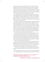and before Kosovo declared independence in 2008. The third are the plates issued by Serbia which have the old Serbian municipal structures. They have city initials of towns in Kosovo ('KM' for Kosovska Mitrovica, for example). These, along with Yugoslav-era plates, are not accepted anymore. The Kosovo government wants these plates prohibited on its territory, and has announced it will seize any vehicles which have them. Serbian officials say this is unacceptable for Kosovo Serbs and was never agreed as part of a deal.

The Kosovo government and its citizens are upset about the fact that the system Belgrade has in place, whereby Kosovo-registered cars entering Serbia receive "PROBA" or temporary license plates, is not uniformly implemented at all the crossing points. At most points, it takes about half an hour and costs approximately 5 euros to buy these temporary plates, have them registered, and then affix them to the motor vehicle.

However, as BIG DEAL has noted in previous reports, these temporary plates cannot be purchased at the Jarinje checkpoint (north of Leposavic). As the Kosovo government also wrote in a report from October 2015, the "sale point for insurance and payment of the "proba" plates was more than 2 kilometers away from the IBM CP. Drivers were required to park their vehicles in the IBM CP and walk for about 2 km and procure the required insurance or payments and come back to the IBM and present the necessary paper to the Serbian authorities."43 This kind of onerous procedure - making it virtually impossible for drivers who are elderly, frail, disabled or unable to leave vulnerable passengers alone in the vehicle - does not constitute "free movement."

The Kosovo government has pointed out that the implementation plan for the freedom of movement agreement includes a clause on reciprocity: "The Kosovo side reserves itself the right to, after consultation with the EU, apply a temporary vehicle license plate regime as well." BIG DEAL has learned that Kosovo is undertaking technical preparations to impose reciprocal measures. The Ministry of Interior has purchased 50,000 temporary plates in case the government decides to impose reciprocal measures.<sup>44</sup>

Kosovo's chief negotiator Edita Tahiri has said that the Kosovo government will begin fining drivers using cars with the illegal license plates from the Serbian system (KM for Kosovska Mitrovica, GL for Gjilan, PR for Prishtina, etc). These license plates are not in wide circulation except for the four northern municipalities. The expiry deadline for the transition period is next year.

 Minister Tahiri also said that Kosovo will undertake measures to address the issue of unregistered vehicles, and will soon implement a timeline to this effect.45

In northern Kosovo, many cars remain registered in the Serbian system only. This is considered illegal and Kosovo has also complained about the Serbian

<sup>43</sup> State of play report, November 2015. http://www.kryeministri-ks.net/repository/docs/KOSO-VO\_BRIEF\_REPORT\_ON\_BRUSSELS\_AGREEMENTS\_STATE\_OF\_PLAY\_251115.pdf

<sup>44</sup> Interview with international official in November 2015.

<sup>45</sup> Statement from Minister Tahiri to BIG DEAL in November 2015.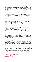side's slowness to process entry at the Mutivoda border crossing from Kosovo into Medvedja, Serbia, on the day of Serbia's municipal elections, 13 September 2015, which created long delays. There were reports that numerous buses and 200-300 cars trying to enter Serbia from Kosovo were lined up at the border for hours.46 Medvedja has a sizeable Albanian minority, many of whom, still eligible to vote in this election, have taken up residence in Kosovo.

Minister Tahiri alleged that this was a violation by Serbia of the Freedom of Movement agreement, and that she and Kosovo's Liaison Officer in Belgrade Valdet Sadiku called upon Serbian partners and EU facilitator Alexis Hupin to intervene.<sup>47</sup>

# Transit and Air Travel:

On 16 September 2014, both sides agreed Kosovars are to be allowed to travel through Serbia to new border crossing points to Bulgaria and Macedonia, in addition to existing points for Croatia and Hungary. This went into effect on 16 November 2014. From 22 September, pursuant to the same agreement, Kosovo ID holders could legally fly into and out of Belgrade international airport. Kosovars have reported to BIG DEAL that they have been able to depart from and land in Belgrade airport, though the process takes approximately an extra half an hour because of paperwork.

Unfortunately, the system is not foolproof. One Kosovar, policy analyst Shpend Kursani, flew successfully in September 2015 from Florence to Belgrade. In an attempt to take the exact same flight from the same airline only one month later to give a training, he was blocked by airline personnel.

"I checked in with my passport and luggage, and there was no problem there," said Kursani. "As I was waiting in the line at the gate to board the plane, my name was called, and I went to the flight operators who stand at the gate to "cut" your ticket before boarding the plane. They asked for my passport and the boarding passes I got when I checked in, and told me that I cannot board the plane. The reason they said is that I was not allowed to enter Serbia with my Kosovo passport. I told them that this is true, but we do not use passports to enter Serbia, and explained that we use ID cards, and that is the agreement. But they were just sorry about the fact that simply their computers were showing that Kosovo passports are denied entry; hence I was turned back. I did try to explain that there is an agreement between the two parties that Kosovo citizens enter Serbia with an ID card, but to no avail. He asked me to show him my ID, and when he saw that it is a Kosovo ID card, said "I'm sorry, you cannot go with this".

It seems that free movement in this case is left up to chance. It would behoove Kosovo and Serbia to jointly send notifications to any airline that flies to

<sup>46</sup> See article in Koha Ditore: "Bajram Mustafa fton qytetarët e bllokuar në Mutivodë për qetësi," 13 September 2015. http://koha.net/?id=27&l=74802

<sup>47</sup> See "Brussels Agreements Implementation State of Play, March- September 2015," page 43. http://www.kryeministri-ks.net/repository/docs/Kosovo\_Report\_on\_state\_of\_play\_in\_Brussels\_ Dialogue\_061015-signed.pdf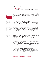Belgrade and encourage them to update their computer systems.<sup>48</sup>

# Train Travel:

Train travel has yet to be raised in Brussels. After UNMIK stopped running the railway system in 2008, Serbia took control over 50 kilometres of railway in northern Kosovo, from Zvecan to Lesak. Since October 2013, Serbia's railways operates a train from North Mitrovica to Kraljevo, with connections to Belgrade and beyond. This train is not controlled by Prishtina and Kosovo government officials have expressed frustration that Serbia has not provided payment from Serbian railways for use of railway tracks which they consider Kosovo property.

### Mitrovica Bridge

The steel bridge separating north and south Mitrovica is more a symbol of division than a tangible barrier keeping people apart. There are two other bridges on both sides of it that connect the northern part of the city with the southern.

On 18 June 2014, a group of ethnic Serbs cleared away a barricade made of earth and rocks that had blocked the way on the north side of the bridge for three years. This was done without any prior notification of citizens on either side of the structure. In the few hours that it was open, some residents expressed shock and outrage, while a small group of ethnic Albanians drove across exuberantly. Hours later, large planted pots were set up as a makeshift barricade and north Mitrovica's mayor announced that the bridge would be the site of a so-called "Peace Park." The street where the barricade had once stood was dredged up, which meant that it could not become normal overnight, the way the removal of the earlier barricade rendered it.

Since that time, the EU Special Representative's office in Prishtina pledged to do a report on the feasibility of dismantling the barricade and beautifying the area. An EUSR-led working group was set up to determine a plan for the bridge that would be acceptable to all parties. On 29 June 2015 both sides agreed to a joint architectural design plan.

On 25 August, among the list of deals made in Brussels was a deal about the bridge's future. Both sides pledged to close the bridge on 15 October to commence its renovation. The bridge is to be open for all traffic no later than the end of June 2016. In tandem, the central street of north Mitrovica, Kralja Petra (King Peter) is to be pedestrianised by the same deadline.

On 15 October, when the so-called "Peace Park" was set to be closed off, it was delayed for 48 hours because north Mitrovica mayor Goran Rakic tied the issue of the renovation to the Memorandum of Understanding between the municipality and the EU office about the pending delineation of two neighbour-



"The Peace Park was progress, and now this barricade sends a dangerous message. It is good that it has the EU stickers on it everywhere, so it does not seem like a local initiative. Imposed decisions are not sustainable." **-LOCAL GOVERNMENT LEADER IN NORTH MITROVICA.**

<sup>48</sup> Mr. Kursani traveled to Belgrade from Florence via Alitalia airline on 27 September 2015, successfully. He was barred from the same flight on 19 November 2015.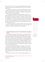hoods in north Mitrovica. There remains some disagreement about whether or not Kolasinska street will also be pedestrianised, but that will likely remain a street for cars.

Most of the bridge area is now inaccessible, sealed off by a fence made of sheet metal and the so-called "Peace Park" is completely blocked from vision and access. Pedestrian traffic is possible via the sidewalk on the west side of the bridge and it remains heavily guarded.

"The complete blockage sends a dangerous message," says one local government leader in North Mitrovica. "The Peace Park was progress, and now this barricade sends a dangerous message. It is good that it has the EU stickers on it everywhere, so it does not seem like a local initiative. Imposed decisions are not sustainable." The official complained that the decision to set up what is in effect also a large barricade did not improve the situation, and that there was little input from community members on the deal determining how their community area should look.

On 13 November the EU office in Kosovo opened a tender for the contract for a company to 'revitalise' the bridge, which will close on 18 January 2016. After the contractor is selected the construction work should begin.

# Suvi Do/Suhadoli and Kroi I Vitakut/Brdjani Neighborhoods

A more niggling issue has been the demarcation of two neighbourhoods in north Mitrovica, Suvi Do/Suhadoli and Kroi i Vitakut/Brdjani, which local politicians have connected to the issue of the bridge. Suvi Do is about 1 kilometre west of the main bridge on the Ibar, separated into lower and upper neighbourhoods with approximately one kilometre in between. Some 2000 Albanians live in the lower part and some 200-230 Serbs in the upper, alongside 15 Albanian houses. According to the Ahtisaari Plan, Suvi Do/Suhadoli belongs in south Mitrovica, but according to Kosovo cadastral documents, it belongs to north Mitrovica, and this discrepancy has led to an ongoing dispute between municipal officials from both sides of the city.

According to the deal reached in Brussels on 25 August, "By 10 October 2015 the maps of administrative boundaries of cadastral areas in Suvi Do/Suhadoli and Kroi i Vitakut/Brdjani area will be solved through the Memorandum of Understanding on Municipal Development Plans, the Municipal Zoning Map and Detailed Regulatory Plan between relevant ministries and the two municipalities."49

What began as a discussion about 7 houses and several apartments has



"Even in the

Ahtisaari plan we are in northern Mitrovica, but anyway no one has talked to us, neither from the northern municipality or the southern." **-JOVICA DENIC, A SERB FROM NORTH SUVI DO**

<sup>49</sup> Full text of the agreement is here: http://eeas.europa.eu/statements-eeas/docs/facilitated-dialogue/150825\_02-bridge\_en.pdf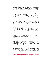blossomed into a dispute over the cadastral demarcation of 52 houses and 36 apartments. This issue is not part of the cadastre negotiations, but has become tied to the plans connected to the rehabilitation of the Mitrovica Bridge, with politicians from opposing camps not wanting to sign off on the plan for the bridge until this issue is resolved. Because the Kosovo cadastral agency has included Suvi Do/Suhadoli as part of the north, it means that north Mitrovica is somewhat multi-ethnic, and there are five Albanians on the municipal council, more than any other northern municipality.

At a municipal assembly meeting on 23 October, Mitrovica North mayor Goran Rakic said he would not sign anything that harms the Serb community, arguing that the "Ahtisaari plan is not Holy writ that cannot be changed."<sup>50</sup>

Citizens are confused about whether their territory is supposed to belong to the municipality of North Mitrovica or South Mitrovica.

"According to the Ahtisaari plan, this area is supposed to belong to South Mitrovica," a 40-year-old Albanian from Upper Suvi Do/Suhadoli told BIG DEAL. "The bridge should be open, but anyway it is for me since several times a day I am crossing here and there. I go to Zvecan, I go to Leposavic."

Just several metres away, Jovica Denic, a Serb from Upper Suvi Do/Suhadoli said he is sure he is part of North Mitrovica.

"Even in the Ahtisaari plan we are in northern Mitrovica, but anyway no one has talked to us, neither from the northern municipality nor the southern."

These discussions remain on-going, but citizens maintain they feel left out with an uncertain future.

# Customs and Free trade

Customs and free trade between Kosovo and Serbia function well at this point, though there is a large trade imbalance.

Kosovo and Serbia's agreement on customs stamps and free trade was signed on 2 September 2011 and implementation began by the end of the same month, though was not implemented at the northern crossing points Jarinje and Brnjak until December 2013. The agreement is grounded in the Central European Free Trade Agreement, CEFTA, to which non-EU countries in southeast Europe are party. The agreement did away with what had been a three-year trade embargo on Kosovo goods by Serbia and trade has increased, though it remains heavily lopsided.

Pursuant to the customs agreement, money collected at the two northern BCPs goes into a "fund for the north," which has to date collected 7.6 million euros and initiated three projects in north Mitrovica: boosting small and medium sized enterprises, land expropriation for the new municipality, and creating a centre for the fire brigade.

<sup>50</sup> See: "Rakić na opštinskoj sednici: Nije Ahtisarijev plan Sveto pismo pa da ne može da se menja, 23 October 2015, KosSev. http://kossev.info/strana/arhiva/bozovic\_\_potpisivanje\_memoranduma\_o\_razgranicenju\_bi\_dovelo\_do\_novih\_lokalnih\_izbora/6565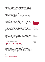After confronting numerous issues related to controlled substances such as medicines, a further agreement was put in place on 7 April 2015 enabling the licensing of controlled goods destined for north Kosovo. This process previously required constant and daily intervention and it has improved greatly. However, there are still kinks in the process, with regular intervention needed from the Mitrovica North Administrative Office, which was set up by the Kosovo government in May 2012 to take care of municipal needs before the Kosovo municipalities were created in November 2013.<sup>51</sup>

Kosovo Customs has registered 439 companies for import/export to and from north Kosovo, and 98% of them have Kosovo fiscal numbers, indicating integration into Kosovo's taxation system..

Another agreement on pharmaceutical products went into force on 27 June 2015, which provides for reciprocal recognition of pharmaceutical certificates, which will be very important for the continued presence of the Serbian healthcare system in Kosovo. It also means that Kosovo can sell its pharmaceuticals to Serbia. The agreement covers institutions like pharmacies and wholesalers, licenses for products themselves, and the import of medicines and medical donations to Kosovo.

The fact that there is an agreement is a drastic improvement from the last BIG DEAL reporting period, when hospitals and wholesalers especially in north Kosovo were concerned that there would be no solution for legally importing Serbian medical supplies.

This procedure has not been completely implemented, as few pharmacies and wholesalers have applied for licenses, and Serbia has not proffered the licenses for the pharmaceutical products in question. Until there are licenses, these products cannot be imported to Kosovo, so it will remain a problem until these licenses are secured by Serbia and given to the Kosovo government.

The Chambers of Commerce of Kosovo and Serbia have been key players in this segment of dialogue, meeting regularly to hammer out the details of technical agreements to enable the free flow of goods, especially tackling tough topics like phyto-sanitary concerns.

# Changes affecting Kosovo Serbs

Much of the agreements concern how to best integrate Kosovo's Serb community into Kosovo, especially the four northern municipalities, which were not under Prishtina's de facto control when the 19 April 2013 agreement was signed. Municipal structures existed only as part of the Serbian system and most government services were provided by Serbia. That deal paved the way for local elections in November 2013 and the folding of the four municipalities into Kosovo's system of administration. The current environment means that the four municipalities created by the 19 April agreement function, but not smoothly.

"Sometimes I'm afraid of being wrong and making a slip of the tongue when talking about the decision-makers in the municipalities. I do not know which municipality they belong, Kosovo or Serbian." **—CITIZEN FROM LEPOSAVIC**

<sup>51</sup> Interview, north Mitrovica, November 2015.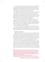All four of the municipalities had assemblies in place by January 2014 and their municipal statutes in place by May of the same year, but disputes over budgeting with Prishtina hobbled their functionality in 2015. The four northern municipalities in Kosovo were set to receive municipal budgets for 2015 from central government in Prishtina: several million euros each.

According to representatives in Prishtina, these municipalities would also be able to access 17 million to 20 million euros in state-level funds for infrastructure projects. But according to Kosovo's ministries of finance and local governance, the four municipalities requested funds that were 59 million euros higher than expected - seven times what Prishtina had allocated,<sup>52</sup> thus their budgets were blocked from February 2015 until May 2015.53

As a result, the municipalities have been struggling to make all of the expenditures by the end of the fiscal year.<sup>54</sup> In Leposavic, according to one member of the municipal assembly, only 7.3 per cent of the budget has been spent.<sup>55</sup> Given that there is a similar delay in budgeting and similar disputes as those present during the last budgeting period, there is a fear that this same problem could happen for the next fiscal year.

The previous structures of the municipalities also remain functional, and often with the same personnel: the deputy mayor of north Mitrovica under the Kosovo system is the mayor in the Serbian parallel system. The mayors of Leposavic and Zubin Potok are mayors in both systems, receiving two salaries.

# Parallel structures

These municipal officials in the north form part of what is dubbed in Prishtina "parallel structures." Until November 2013, governance, health, education, culture and in life in general were overseen by Serbian institutions. Currently these institutions continue receiving money from Serbia, yet, one by one, as Prishtina gradually takes the helm, for instance integrating former Serbian police officers into the Kosovo Police, some of these bodies will be shuttered.

Serbia still has local government bodies called privremeno veće, or 'temporary councils', and its state institutions (health ministry, education ministry, etc.) continue to function as well. According to research by Serbian journalists, there are more than 5,100 elected or appointed people on the Serbian payroll working in local government or public enterprises, including schools and hospitals, on the territory of Kosovo. Under the Serbian system, the municipality of Pristina (whose administration has its seat in Gracanica) has the largest payroll,

54 Interview in North Mitrovica with municipal official, November 2015.

<sup>52</sup> North Mitrovica budgeted for around 20 million euro, although only 2.7 million euro was approved by the government. Zvecan approved annual expenditure of around 14 million euro, as against an allocated 1.6 million; Zubin Potok approved 21.5 million while only 1.8 million was allocated, and Leposavic approved 11.5 million while only 2.3 million was allocated. See: http:// www.balkaninsight.com/en/article/prishtina-blocks-the-accounts-of-serb-municipalities 53 See ECMI Kosovo, "MUNICIPAL BUDGETS IN NORTHERN KOSOVO: AGREEMENT, AT LAST," 7 May 2015. http://www.ecmikosovo.org/wp-content/uploads/2015/05/Political-Update-on-Municipal-Budgets-in-the-North\_English.pdf

<sup>55</sup> Municipal Assembly monitoring report prepared by the Mitrovica-based Advocacy Center for Democratic Culture regarding the Leposavic municipal assembly session on 12 November 2015.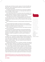with 840, while north Mitrovica has 614, Leposavic 510, Zubin Potok 399, and Zvecan 242.56 Some of these people officially work in Kosovo institutions as well and receive two salaries.

According to recent polling, some 52 per cent of north Kosovo inhabitants rely on the budget of Serbia for income, so in many ways these 'parallel structures' are a lifeline for Kosovo Serbs.<sup>57</sup>

One of these officials who sits in two chairs is Zoran Todic, president of the municipal assembly of Leposavic according to the Kosovo system, and head of the temporary council in Leposavic's Serbian municipality structure.

"We undertook the first step in the Brussels agreement, which was to go to the polls under Kosovo law," he says. "Regarding the functioning of the new local governments, they work only as much as is sufficient to fulfil some legal obligations."

Todic told BIG DEAL the process of closing the parallel institutions will take time.

"If anyone thought that overnight, by turning out to vote, we would be immersed in the new system, they are lying. There are a lot of technical details that need to be fulfilled in order for it to come to life."

Todic is looking to the Association/Community of Serb-majority municipalities to sort out the system:

"If the provisional institutions [temporary councils] were abolished there would be chaos in the payment system. There are institutions that are directly financed from the budget of the Republic of Serbia. The essential plan of the Association of Serbian municipalities is to solve the issue of funding from Belgrade."

However, it can be confusing to have to address two systems, or to not be sure where to turn. "Sometimes I'm afraid of getting it wrong and making a slip of the tongue when talking about the decision-makers in the municipalities," a citizen from Leposavic told BIG DEAL. "I do not know which municipality they belong to, Kosovo or Serbian." Often that is because the same municipal employees work for both structures.

"Everything that we used to call 'our' institutions, and what in the meantime were called 'parallel' institutions, are looking at closure. They must all be shut down," says Leposavic municipal assembly member Nenad Radosavljevic.

"Of course things connected to documents, passports, ID cards, citizenship, etc. should be allowed to continue to exist in dualism in the sense that the Serbian people want their homeland to still be Serbia, and they should be allowed to have dual citizenship. But there is no dilemma that the parallel institutions will be closed and must be closed, in order for everything to function correctly. I expect that these will be closed in parallel with the formation of the Associa-



"Everything that we used to call 'our' institutions, and what in the meantime were called 'parallel' institutions, which are looking at closure, they must all be shut down." **— NENAD RADOSAVLJEVIC, LEPOSAVIC MUNICIPAL ASSEMBLY MEMBER**

<sup>56</sup> Data provided by Ivan Angelovski, formerly of Serbian broadcaster B92's show Insajder. The salaries for these 5,106 people cost the Serbian government almost 2.18 million euros per month. 57 "Views of the citizens in north Kosovo," AKTIV & Center for Peace and Tolerance, November 2015.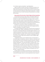tion of Serbian-majority municipalities," says Radosavljevic.

Indeed, according to the deal, the process of setting up the statute for the future Association/Community of Serb-majority municipalities should run in tandem with the dismantling of the Serbian state structures, and future funding for Kosovo Serbs will be eventually routed through the Association. A tripartite group should be set up to monitor the process of dismantlement as it proceeds with the statute.

# Association/Community of Serb-Majority Municipalities

The Association/Community of Serb-majority municipalities (ASM) is the cornerstone of the 19 April 2013 agreement, with six of 15 points of the deal focused on its creation. Most Serbs of Kosovo are eager to see it up and running, likely because a number of them have high expectations for it. One in five northern Kosovo Serbs believe the ASM will have executive competencies,<sup>58</sup> a proportion that is actually relatively low considering the fulsome promises that have been made for more than two years now by Serbian politicians.

The ASM is to include the four northern municipalities as well as Gracanica, Strpce, Novo Brdo, Klokot, Ranilug and Partes, with the regional centre for southern municipalities to be seated in Gracanica.

The original 2013 agreement foresaw that it would be up and running by the end of the same year. However, implementation was more or less stalled until this summer. On 25 August 2015 Kosovo and Serbia agreed in Brussels on a set of general principles and main elements of the Association, which should eventually be translated into a statute. However, almost as soon as this agreement was reached, Kosovo's opposition bloc, consisting of Vetevendosje!, Alliance for the Future of Kosovo (AAK) and the Initiative for Kosovo (NISMA), began protesting the decision.

 The agreement fleshes out the competencies given to the association of the 10 Serb-majority municipalities, to have full "overview" in the areas of rural and urban planning, economic development, education and health, though the precise meaning of "overview" is not well-defined and seems to have multiple potential interpretations. It will also allow Serbia to contribute money – in a transparent manner – to the body. This is of vital importance to Kosovo Serbs, as more than half of the Serbs in the north report relying on money from the Serbian government for their livelihoods.<sup>59</sup> However, it is also an area of concern for those who see it as a way for Serbia to continue to hold influence over Kosovo, and, in the case of the six Serb-majority municipalities south of the Ibar River, to extend its influence.

The deal fleshes out the details of the ASM that are not enumerated in the Brussels agreement, but the principle that the Association conforms with Kosovo law and the European Charter on Local Self-government holds. Pursuant to

<sup>58</sup> Ibid. 59 ibid.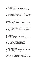this agreement, the ASM will have the following structures:

- An Assembly;
- A President and Vice President elected by the Assembly;
- A council of a maximum of 30 members who are residents of the municipalities, which includes the ten mayors. It is to serve as an advisory body.
- A 7-member board responsible for the daily management of the ASM, more details about their administrative staff to be defined in the statute;
- An Administration, whose chief is appointed by the board. Staff will be civil servants.
- A Complaints Office.

The agreement leaves many things undefined, including the seat of the Association.

Legal competencies/rights/entitlements include:

- Proposing amendments to legislation and regulations relevant "for the performance of its objectives."
- The right to initiate or participate in proceedings before courts, including the Constitutional Court, "against any acts or decisions from any institution affecting the exercise by the Association/Community of its powers in accordance with its Statute."
- Nomination of representatives to bodies of the central government.
- Right to access information from central authorities related to competencies of the Association (health, education, etc.)
- The four northern mayors will nominate the regional police commander for the north.
- Property ownership.
- Employees will have the status of civil servants.

Funding of the Association/Community is also controversial. The body will be subject to audit by the Auditor General. It can have the following sources of funding:

- Member contributions (i.e. from municipal budgets)
- Income from revenues and services provided
- Revenue derived from its property/moveable assets
- Transfers from central authorities in Prishtina
- "Contributions, grants, donations as well as financial support from other associations and organisations, domestic and international as well as from the Republic of Serbia."
- Like other municipalities, the ASM and participating municipalities are exempt from taxes.

The services to be provided to citizens for financial gain have not been delineated, neither has its visual identity. Symbols are important to both Kosovo and Serbia. The ASM is to have its own coat of arms and flag, in accordance to Kosovo law. It is unknown yet what these will look like.

As it stands now, the principles seem to be in line with the Ahtisaari plan,

**38** / **BIG DEAL**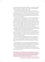but the powers accorded are indeed considerable. On the one hand, receiving money from Serbia—in a transparent way— to add to municipal budgets for healthcare and education relieves Kosovo's budget.

Some see this as legitimizing the current system in a way that will let Prishtina know how much money Belgrade is investing in Kosovo. In the words of politician Oliver Ivanovic, "It needs to be explained to both sides that the Brussels agreement will lead to the legalization of the status quo. Nothing significant will change except that some legal and normal limits will be introduced into the current situation."60

However, others fear potential pitfalls, for instance if Belgrade threatens to condition financing on certain behaviour or votes. In the period since the November 2013 elections, Belgrade has been exercising control over ethnic Serb functionaries in the Kosovo government. One such example is the recent decision to replace Aleksandar Jablanovic as head of Srpska Lista with Slavko Simic. It was made in Belgrade, announced by Prime Minister Vucic to a host of Kosovo MPs and ministers. Serbian Labour Minister Aleksandar Vulin, and Marko Djuric, head of Serbia's office for Kosovo was also present.<sup>61</sup>

However, as scholar Daniel Serwer pointed out after the recent agreement was signed, Prishtina did not have a choice during these negotiations, because it is already committed to implementing the Ahtisaari Plan.<sup>62</sup>

The Ahtisaari Plan, which is formally known as the Comprehensive Proposal for the Kosovo Status Settlement, was a plan put forward before Kosovo declared independence, as a roadmap for Kosovo to transition from UNMIK control. It was drafted by former Finnish President Martti Ahtisaari, and is part of Kosovo's constitutional system.

The plan created the International Civilian Office (ICO), which oversaw Kosovo's so-called "supervised independence," from February 2008 until the ICO's closure in September 2012. Serbia rejected the plan and as northern Kosovo remained outside Prishtina's control, the plan was not implemented there.

The Ahtisaari plan focused on a decentralized model of Kosovo, giving significant responsibility to municipalities to manage their own affairs. Annex III of the plan drew new boundaries for municipalities, some of which were created on an ethnic basis, like predominantly Serb north Mitrovica.

The Ahtisaari Plan gave these municipalities important elements of selfrule in the fields of health, education and social issues, as well as participation in choosing the police chief.

<sup>60</sup> Oliver Ivanovic, from north Mitrovica is the leader of the independent citizens' initiative "Freedom, Democracy, Justice." In November 2014, he was indicted for alleged war crimes against civilians in 1999 and 2000. The trial remains ongoing. Before his arrest he was seen as one of north Kosovo's more moderate, pro-cooperation figures and a "key interlocutor for NATO and the EU." http://uk.reuters.com/article/2014/01/27/uk-kosovo-warcrimes-idUKBREA0Q1FS20140127 61 This decision was made on 23 October 2015 in Belgrade. http://www.blic.rs/Vesti/Politika/600742/Slavko-Simic-novi-sef-Srpske-liste-umesto-Jablanovica 62 See "It all depends," 26 August 2015. http://www.peacefare.net/2015/08/26/it-all-depends/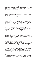Article six gave municipalities the right to form associations and partnerships with other municipalities in Kosovo: "Municipalities shall have the right to inter-municipal and cross-border cooperation on matters of mutual interest in the exercise of their responsibilities."

Municipalities also have the the right to cooperate with municipalities and institutions in Serbia, "including the right to receive financial and technical assistance from Serbia, within certain clear parameters set by the Settlement." In addition, municipalities are allowed to use educational material from Serbia in local schools.

Annex III stipulates that municipalities can cooperate with and receive funding from Belgrade and use educational material from Serbia in local schools. Mitrovica North is given special competence for higher education, including licensing and registering of educational institutions, while north Mitrovica, Strpce and Gracanica are given special powers with regard to healthcare. Annex IV provides that municipalities will have their own local courts and mandates that "Kosovo judicial institutions shall ... reflect the ethnic composition of their area of jurisdiction."

In this way, the clauses of the 19 April 2013 agreement and the "main elements" enumerated in August 2015 seem to be in harmony with the Ahtisaari Plan. The intent of the plan to allow Kosovo Serbs to be part of a multi-ethnic Kosovo while still maintaining ties with Serbia seems clear.

The plan did not, however, detail how any of these associations would relate to the central government in Prishtina, or explain what sort of formal institutional links it would have to the Serbian government in Belgrade.

The central government has the power of administrative review of municipal actions, with the provision that if the municipality and the central government disagree, the matter is to be decided in the Kosovo courts (Annex III Art. 6). The plan does not mention a potential disagreement between an association of municipalities and the Kosovo government. The 25 August 2015 "main elements" document also does not address disagreements between the central authorities and the association. This will have to be addressed.

However, the plan did place these in the context of a functional relationship with the government in Prishtina, who would retain administrative oversight of local competencies, as it is doing now. This oversight is slowly extending to the north, through the establishment of four northern municipalities in the Kosovo system after the November 2013 elections.

The issue is that while the most recent agreement seems to be more or less in line with the Ahtisaari plan, it, the 2013 agreement and the recent "main elements/key principles" document are all ambiguous on the issue of municipal partnerships, and this ambiguity could lead to problems.

For instance, there are two articles in the Ahtisaari Plan dealing with municipal partnerships:

9.1.1 Municipal responsibilities in the areas of their own and extended own competencies may be exercised through municipal partnerships, with the ex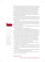ception of the exercise of fundamental municipal authorities,<sup>63</sup> such as election of municipal organs and appointment of municipal officials, municipal budgeting, and the adoption of regulatory acts enforceable on citizens in general.

9.1.2 Municipal partnerships may take all actions necessary to implement and exercise their functional cooperation through, inter alia, the establishment of a decision making body comprised of representatives appointed by the assemblies of the participating municipalities, the hiring and dismissal of administrative and advisory personnel, and decisions on funding and other operational needs of the partnership;

"These provisions allow for the exercise of powers collectively, but, importantly, not when it comes to basic municipal powers and authorities," points out scholar Gezim Krasniqi, Alexander Nash Fellow in Albanian Studies at University College London.

Article 9.1 deals with "partnerships," while 9.2 deals with the formation of an association, which can offer its members services including "training, capacity building, technical assistance, research related to municipal competencies and policy recommendations."

It is unclear whether these are considered the same type of body or different possibilities, says Krasniqi.

The 2013 agreement puts the wording differently:

"In accordance with the competences given by the European Charter of Local Self Government and Kosovo law the participating municipalities shall be entitled to cooperate in exercising their powers through the Community/Association collectively.<sup>64</sup> The Association/Community will have full overview of the areas of economic development, education, health, urban and rural planning.

The Ahtisaari Plan presents the opportunity to exercise "non-basic municipal powers together," but the 2013 agreement makes no such distinction.

The most recent agreement, on 25 August, gives the future Association rights that were not mentioned in Ahtisaari or in the 19 April 2013 agreement:

9) The Association/Community will promote the interests of the Kosovo Serb community in its relations with the central authorities.

11) the right to initiate or participate in proceedings before the competent Courts, including to the Constitutional Court

13) the right of the four mayors from the north to propose, on behalf of the association, a list of candidates for nomination as regional police commander

14) the right to own companies that provide local services within the scope of the Association

Point 9, as Krasniqi points out, gives Serbs another level of representation in addition to the seats in parliament reserved for them.

 Point 14 intimates that the Association will not be purely a coordination mechanism, but also a service provider.



problem is legal ambiguity and the fact that Kosovo Serbs and Serbia don't recognise Kosovo" **— GEZIM KRASNIQI, SCHOLAR AT ALEXANDER NASH FELLOW IN ALBANIAN STUDIES AT UNIVERSITY COLLEGE LONDON**

<sup>63</sup> Emphasis added by the author.

<sup>64</sup> Emphasis added by the author.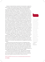Krasniqi concludes that there is potential for the Association to weaken the state of Kosovo, and the likelihood will be higher if the statute is ambiguous.

"I consider that a potentially ambiguous statute will be detrimental to the process of the integration of Serbs within the Kosovan system and ultimately Serb-Albanian relations," he says. "Although the first objective of the association according to the 2015 agreement is 'to strengthen local democracy', I fear that the association will do the opposite. The aforementioned principles leave open the door for the emergence of a centralised mechanism controlled directly by Belgrade that weakens both the municipalities with Serb majority by exercising many competences on their behalf and representation at the central level." Much of the implementation of the agreements depends upon the idea of "overview". The 19 April 2013 agreement gives the ASM "overview" of the areas of healthcare, education, urban/rural planning and economic development, which are municipal capacities according to Ahtisaari. The Ahtisaari plan never mentions the word "overview", or ascribes it a functional definition. This term, which has been translated into Serbian and Albanian as 'supervision' and 'oversight,' interpreted by the Serbs as something like "executive authority," and has been interpreted by Prishtina as supervision but not an executive authority, will need to be fleshed out. Indeed, it may assuage some fears of Kosovo Albanians and create more realistic expectations for Kosovo Serbs if the term is better defined and presented to the public. The draft statute for the ASM, unlike the 25 August agreement, will be a legal document. It must either precisely define this term "overview" or replace it with other, more precise terms, considering that the precision of legal regulations is one of the basic principles of rule of law.

"The biggest problem is legal ambiguity and the fact that Kosovo Serbs and Serbia don't recognise Kosovo," says Krasniqi. "It might make sense to have some provisional technical agreements in Brussels that are ambiguous but work in practice, but ambiguities in documents and legislation of crucial importance, such as the functioning of the association and its relations with central authorities, risk to provide a long-standing source of disagreement and political impasse."

Scholars also raise concerns about the portion of the agreement which stipulates that the regional police commander will be a Serb, selected by the mayors from Kosovo's four northern municipalities. A similar arrangement in Bosnia, which stipulates that the country's three presidents must self-identify as a Bosnian Serb, Croat, or Bosniak, was found to be in contravention of the non-discrimination and free elections provisions of the European Convention on Human Rights by the European Court of Human Rights in 2009.<sup>65</sup>

"Kosovo has two main legitimate worries," says analyst Leon Malazogu. "First, that [the Association] may face a type of deadlock similar to the Sejdic-Finci case in Bosnia if a non-Serb takes Kosovo to the court in Strasbourg about his/her inability to become the director of police in the north."



 "The Community of Serb-majority municipalities, jointly with political processes at central and local levels could be a useful institutional framework that can offer accommodation to Serbian community in Kosovo, and as the first resort, alleviate its fears and sense of distrust toward the process and Prishtina itself." **— BRANISLAV NESOVIC, RESEARCHER**

<sup>65</sup> See, for background: http://www.economist.com/blogs/easternapproaches/2013/10/bosnia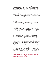Malazogu, like many Kosovars, also shares Krasniqi's concern: "Serbia still keeps a discourse of enmity towards Kosovo which frames concessions to the Kosovo Serbs as potential threats to the state. While generally within the Ahtisaari framework, the wording [of this agreement] leaves an open door for divergent hopes in due course, which guarantees to poison relations in the future."

Branislav Nesovic, who conducted extensive research on the Association of Serb-majority municipalities and the expectations and fears communities ascribed to it, says most of these "new" competencies are not really new.

"The very fact that Kosovo does not have to change any laws for the Association to be formed speaks for itself," he says.

Moreover, Nesovic argues, the Association will actually serve to integrate northern Serbs into the Kosovo polity "at least institutionally," which will in turn ward off fears of "the other", and be a way to build trust in the Kosovo institutions.

 "The Community of Serb-majority municipalities, jointly with political processes at central and local levels, could be a useful institutional framework that can offer accommodation to the Serbian community in Kosovo, and as the first resort, alleviate its fears and sense of distrust toward the process and Prishtina itself."

Nenad Djurdjevic, of the Belgrade-based Forum for Ethnic Relations, says the Association was not granted executive powers, and, he argues "The system of election of the deputies in the assembly is indirect, meaning basically all the institutions will be created by deputies already elected in the municipalities, giving it less political and legal influence."

The Association does get new competencies like property rights and the ability to appeal directly to the Constitutional Court, but there are no veto powers, and no clauses that oblige the central government in Prishtina to consult with the Association on matters of importance to the Serbian community.

Moreover, says Djurdjevic, aside from the seats in the Assembly, there is no institution that can take care of the Serb community in a comprehensive way. Additionally, the right to nominate the regional police commander was foreseen in Ahtisaari, and the Kosovo Police is a more or less centralised and hierarchical institution.

Djurdjevic, who worked extensively with the Albanian national councils in Serbia,<sup>66</sup> argues that a similar model would have been better for Kosovo's Serbs, rather than a model focused on territory.

"I would advocate more for personal rights and the creation of minority institutions that stem from it, like National Minority Councils, rather than than territorialisation of the rights," Djurdjevic told BIG DEAL. "But if Kosovo Alba-

<sup>66</sup> National councils in Serbia exist for the 19 officially recognized ethnic minorities in Serbia to give minorities policymaking influence on education, culture and information dissemination in the languages of the minorities. Serbia's Law on National Minority Councils was adopted in August 2009 in order to implement the minority self-government guaranteed by the Serbian Constitution. Each National Council will have between 15 and 35 members. Each Council may establish educational and cultural institutions as well as media outlets.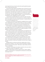nians thought that they can have the state without granting additional guarantees to the Serbs they were wrong."

The fact that six Serb-majority municipalities south of the Ibar will join the Association is something that could serve to bring the northern municipalities further into the Kosovo system. While an association for only the four northern municipalities, could leave hopes for partition of a contiguous area, the addition of the six in the south, which have already been part of the Kosovo system for many years, could ease integration. However, it could also bring those six municipalities closer to Belgrade and further from Prishtina.

"Communities are already divided and no miracle will make multi-ethnicity function in the short term, but in the long term it is a chance to make them learn to live together and function through socialization," says Bane Nesovic, of the north Mitrovica-based NGO AKTIV.

The statute of the ASM was to be drafted by a management team consisting of four representatives from northern Kosovo within four months of the agreement, by 25 December. However, their actions have been postponed due to the temporary suspension of the agreement by Kosovo's Constitutional Court.

On 31 October, following weeks of destabilization in the Assembly, President Jahjaga sought relief from this deepening rift within the Kosovo Albanian body politic by asking the Constitutional Court to determine whether or not the agreement complied with the Kosovo constitution.

In her report on the state of play of implementation of the agreements published on 25 October 2015, Kosovo's chief negotiator Minister Tahiri was very clear: "The [recent] Agreement is in compliance with the Constitution of the Republic of Kosovo and its laws. The Association will not have executive powers and will not be a third layer of governance in the Republic of Kosovo."

The agreement does envision a role for the Constitutional Court, but not until an actual statute is promulgated as a regulation by the Kosovo government. $67$  That is why this decision is seen widely as a stalling tactic, and one that has the potential to break down the goodwill that was accrued in August in Brussels.

Belgrade said the court decision would have a negative effect on the ongoing process of dialogue. "This is really ruining the atmosphere of dialogue and further reducing communication," Marko Djuric, head of Serbia's office for Kosovo, told BIG DEAL.

"We weren't informed about the initiative to send this to the court, which is not right. We are a party to this agreement," he said.

Serbian Foreign Minister Ivica Dacic called the move a "threat to regional stability," accusing Kosovo of "mocking both the international community and the European Union."68



"We weren't informed about the initiative to send this to the court, which is not right. We are a party to this agreement." **— MARKO DJURIC, HEAD OF SERBIA'S OFFICE FOR KOSOVO**

<sup>67</sup> The text of the agreement refers to this as a "decree," but as the government cannot issue decrees, it will take the form of a regulation, according to Minister Tahiri. 68 http://www.balkaninsight.com/en/article/belgrade-pristina-row-over-brussels-agreement-suspension-11-11-2015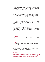Some analysts see this court decision as political and question whether Kosovo's President had any constitutional right to ask the court to opine on the legality at this stage, as the document is not final, and the Constitution gives the president the right only to refer laws or decrees.<sup>69</sup>

One thing is clear: the 25 August agreement foresaw that the ASM would be established by the end of the year, and now the current state of affairs ensures that no progress can be made before early 2016. This does not inspire confidence in the Kosovo government on the part of Kosovo Serbs. More than 80 per cent of northern Kosovo Serbs already say that the Brussels agreement has done nothing to improve their lives,<sup>70</sup> and this deepens resentment.

It is important to note that the mono-ethnic nature of the proposed association is concerning. The text of the agreement made in Brussels says that "The Association/Community will promote the interests of the Kosovo Serb community in its relations with the central authorities." Of course, the constitutional setting does also foresee collective protection mechanisms as a right for the Serb community. However, every single one of these municipalities has non-Serb residents, and such statements are not in the spirit of multi-ethnicity of Kosovo's constitution.<sup>71</sup> A better text would say that it would promote the interests of all citizens of the given municipalities.

Minister Tahiri is adamant that the Association will not be established until all parallel institutions of Serbia are closed. As the statute is being written and finalized, a tripartite commission should be set up to evaluate Serbia's governance structures and find a solution for those who remain employed by the Serbian institutions so that these can be shut down with minimal impact on livelihoods.

## **Security**

Security is an important component for the functioning of society, and it is extremely important in Kosovo, where a small incident that may not be ethnically motivated can take on such a character.

#### Police

2015 was the first year that saw only one police force serving Kosovo: the Kosovo Police. The implementation of the agreement on police is almost complete. This is a major success of the dialogue. By May 2014, the integration of 285 former Serbian Ministry of Internal Affairs (MUP) employees into the Kosovo Police was completed.72 This more than doubled the number of KP officers in northern Kosovo's four Serbian-majority municipalities to 530.73

<sup>69</sup> http://www.balcanicaucaso.org/eng/Regions-and-countries/Kosovo/Kosovo-a-very-political-Court-165756

<sup>70</sup> AKTIV survey

<sup>71</sup> See Articles 1 and 3 of the Kosovo Constitution.

<sup>72</sup> This topic is covered more extensively in the first BIG DEAL report from November 2014. For even more detailed information, see http://pasos.org/wp-content/uploads/2014/04/police\_integration\_nk\_web.pdf

<sup>73</sup> http://www.balkaninsight.com/en/article/serb-police-adapt-to-new-bosses-in-kosovo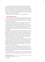After the 19 April agreement, some 1,200 former police employed by the Serbian Ministry for Internal Affairs (MUP) were forced into early retirement. Administrative staff were never incorporated, and another 800 employees who were not from northern Kosovo were not integrated, and not eligible to receive pensions.<sup>74</sup> These administrative staff have been protesting, on the premise that the spirit of the agreement was that people would not lose jobs, or be financially damaged as a result of the agreement. $75$ 

160 of them from north Mitrovica continue to protest the decision.

### Civil Protection corps

The Civil Protection Corps is a Serbian institution regulated by that country's law on Emergency Situations, and members are supposed to be first responders to floods, earthquakes, and other natural disasters. The units are under the jurisdiction of local governments.

The existence of the body in northern Kosovo has been a very touchy issue for Prishtina during the dialogue, because it considers the unit to be a uniformed and armed militia. Serbia, and indeed members of the CP themselves, considered themselves as providing important emergency services for citizens, services that the Kosovo government had not been providing. Equally if not more important, however, is the fact that the CPC was a source of income for its 751 employees.

Disbanding the CPC was foreseen in the 19 April 2013 agreement to be completed by the end of 2013. However, that process did not begin until a second agreement, reached on 26 March 2015, provided more specific parameters for CPC members' retirement or absorption into relevant Kosovo institutions. The agreement also provided for a handover of all CPC resources: lookout points, offices, warehouses, uniforms etc., and legal adjustments within Serbia to make the CPC cease to exist as a legal entity in Kosovo.

Now, a total of 483 members of the CPC are being integrated into the Kosovo system. Already, 433 have received jobs in institutions and another 50 are receiving salaries and have been promised work placement within three years. Eligibility and institutional matching were determined by a four-person panel, consisting of two representatives from Kosovo institutions, one former CPC member, and one EU representative.

In order to be considered for integration, each applicant was required to present valid proof of Kosovo citizenship along with a job application. Kosovo Police and EULEX conducted security checks. 50 applicants were found to have criminal backgrounds and needed to seek clearance from Kosovo judicial institutions in order to proceed.

The first 105 contracts were signed on 1 July of this year, for 80 people now employed in the Emergency Management Agency and another 25 in the Kosovo

<sup>74</sup> The Kosovo Police had been functioning in northern Kosovo for several years prior, and already had administrative staff in place. 75 Interview with analyst, North Mitrovica, March 2015.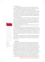Correctional Service.

The agreement specified that the entire recruitment process would be finished on 1 September 2015, but that was not the case. The process of finding positions for the former employees is taking longer than expected.

The agreement also specified that all premises owned and operated by the Civil Protection would be handed over to the Kosovo government. This includes warehouses, offices, observation points, as well as equipment and uniforms. The problem here is that some of the property promised in Brussels did not belong to the CPC in the first place, something that the Serbian negotiating team in Brussels likely knew.

A joint group agreed upon a list of 15 units (offices, warehouses, etc) used by the CPC in all four municipalities. The EU negotiators told the Kosovo government that these premises are considered owned by the municipalities, not the CPC, and that these municipalities do not have the right to hand them over to the Kosovo side. The Kosovo side claims that there should not have been negotiations over the premises in that case.

Equipment was handed over on 25 August 2015 to the Kosovo Emergency Management Agency.

There are three observation points located along the main road from Mitrovica to Jarinje. Per the agreement, they were to be removed by 20 April. This did not occur, but they were removed on 11 June. Another observation point in north Mitrovica overlooking the main bridge was handed over to Kosovo Police on 13 August, and completely removed with EULEX assistance on 14 September. This was also foreseen by the agreement to be done by 20 April, so there was a five month delay.

According to the Kosovo government, on 29 April 2015 Serbia informed the EU facilitator in writing that the CPC in Kosovo will no longer exist within the Serbian system from 1 September 2015. CPC members no longer receive salaries from Serbia.

#### **Judiciary**

Access to justice is a benchmark of democracy and a crucial component of the foundation of any country. Kosovo has long sought a unitary judiciary, comprising its entire territory. The 19 April 2013 agreement and its 22 May 2013 implementation plan foresaw that the judicial authorities would be fully integrated by the end of the same year. Implementation had completely stalled and a new agreement was reached in the early morning hours between 9 and 10 February 2015 on integrating the four northern municipalities into a Prishtina-based court system. This deal was the first made between Prime Ministers Mustafa and Vucic, and it came after months of stagnation. Though it signalled an injection of momentum to the process, its deadlines were too ambitious: it foresaw that the unitary judiciary be fully functional by 1 September 2015.

"We need the court so northern Kosovo can finally stop being a rule of law vacuum," says Dusan Radakovic, whose Mitrovica-based NGO works with the

"The judiciary is the cornerstone of any society, and this agreement is the key to unlocking the others. Once this agreement is fully implemented, it will make it easier for the others to also be implemented." **-DUSAN RADAKOVIC, HEAD OF MITROVICA-BASED NGO**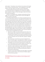justice system. "The judiciary is the cornerstone of any society, and this agreement is the key to unlocking the others. Once this agreement is fully implemented, it will make it easier for the others to also be implemented."

The parties agreed that existing judicial authorities would be integrated into the Kosovo system. The Appellate Court in Prishtina will establish a panel composed of a majority of Kosovo Serb judges to deal with all Kosovo Serb-majority municipalities.

A division of this Appellate Court, composed of administrative staff and judges, will sit permanently in northern Mitrovica. Kosovo Serb judges will comprise a majority of each panel.

On 10 February 2015 both parties met in Brussels and agreed exactly how the structure of the judiciary would look. They agreed that the president of the court in north Mitrovica will be a Kosovo Serb from northern Kosovo. The court to be established in North Mitrovica to deal with all the northern municipalities will have an appeals division with five Kosovo Serb judges and two Kosovo Albanian judges, while a Kosovo Serb will be appointed the vice president of the Appellate Court in Prishtina. It will also house the serious crimes division for the entire region (the four northern municipalities as well as Vushtrri/Vucitrn and Skenderaj/Srbice), which will be composed of four Kosovo Serb judges and four Kosovo Albanian judges. There are also specific numbers of employees of both Serb and Albanian nationality prescribed for each court and its branches.<sup>76</sup> The main points of the agreement are as follows:

There will be one Basic court and one basic prosecution office for the

- Mitrovica region, which includes the four northern municipalities and the predominantly-Albanian and more populous Skenderaj and Vushtrri. The one basic court will have two premises (North and South Mitrovica) and four branches of the court: Zubin Potok, Leposavic, Skenderaj and Vushtrri.
- The court premises in South Mitrovica will have the department for minors for the entire region. It will adjudicate civil matters, uncontested claims, and minor offences for Mitrovica north and south and Zvecan.
- The president of the court will be a Kosovo Serb from northern Kosovo. The chief prosecutor will be a Kosovo Albanian, with offices in the Mitrovica North Administrative Office in the Bosniak Mahala.
- Allocation of cases to prosecutors is based on expertise, specialization, and personal background knowledge. (This seems set to assure both parties that their cases will most likely be prosecuted by members of the same ethno-national group.)
- The basic court will have 14 Albanian and 10 Serb judges in the building located in Southern Mitrovica, and 14 Serb and 10 Albanian judges in the North Mitrovica premises.

<sup>76</sup> This agreement has been published only in leaked form. The Kosovo Ministry of Justice has made it available to BIG DEAL, but it has not published the full text of the agreement online.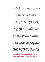- The prosecutor's office will have 9 Serbs and 9 Albanians with 24 support staff each.
- There will be 79 Serb and 79 Albanian support staff, though the branches in Zubin Potok and Leposavic will each have seven Serb staff.
- The court in North Mitrovica will have an appeals division with five Kosovo Serb judges and 2 Kosovo Albanian judges. It will also house the serious crimes division for the entire region, which will be composed of four Kosovo Serb judges and four Kosovo Albanian judges. It will also adjudicate over criminal offences for Mitrovica north and south and Zvecan. A Kosovo Serb will be appointed the vice president of the court of appeals in Prishtina.

At the time of writing, there are still several sticking points which were not negotiated in Brussels in February 2015 that have proven hard to solve: the location of the chief prosecutor's office, the ethnicity of the court clerk, and the number and ethnicities of support and administrative staff.77 Moreover, the existing software database of all court cases in Kosovo exists only in Albanian.

At present there is a backlog of half a million court cases in all of Kosovo, 8,000 of which involve northern Kosovo. The Serbian judicial institutions more or less shut down in mid 2013, pursuant to the agreement. They handle only civil cases like divorce and marriage. Only EULEX is in place to deal with criminal activities, though its mandate is set to end in June 2016, and it only conducts high profile war crimes, organized crime, or corruption cases. No strategy for coping with the backlog has been published.

When the police conduct a criminal investigation, the evidence is taken to Vushtrri/Vucitrn and kept there, pending until the court becomes fully functional. It is estimated that some 500 suspects from northern Kosovo - very roughly one percent of its population - will be taken in for questioning as soon as the prosecution becomes operational.78

It remains unclear whether a regulation or law will be passed ensuring that crimes with statutes of limitation which have expired due to lack of a place to try them.

"Serbian courts stopped their work more or less by 1 September 2013, when it was assumed that the integration process of the judiciary would be completed, but then nothing happened when the first of September 2013 rolled around, and negotiations continued," said a former employee of the Serbian judiciary who wished to be unnamed, because of the sensitivity of the topic.<sup>79</sup> "This process of negotiations goes on, but life cannot wait upon political agreements. Laws are not written for further political agreement, but implementation. Citizens have the right to a trial within a reasonable time, everyone has his own legal interest and they want it to be protected by the courts."

<sup>77</sup> Only some of the ethnicities and numbers are delineated in the recent agreement/plan.

<sup>78</sup> Interview with civil society activist monitoring the judicial system in Northern Kosovo in Mitrovica, November 2015.

<sup>79</sup> Interview with employee of the Serbian system court in North Mitrovica, October 2015.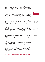As we pointed out in our last report, the agreement on judiciary, like the agreement on police (which stipulates that the regional police commander must be a Serb) has aroused the ire of the non-Serbian minority communities in Kosovo because it does not foresee participation in the judiciary explicitly for them. Representatives from the Bosniak, Gorani, Turkish, Ashkali, Roma and Egyptian communities have vocally announced their frustration and intention to challenge the decision before Kosovo's Constitutional Court.

Moreover, article 53 of Kosovo's constitution says, "Human rights and fundamental freedoms guaranteed by this Constitution shall be interpreted consistent with the court decisions of the European Court of Human Rights (ECtHR)." The Sejdic-Finci verdict This creates a precedent in European Convention case law that may yet haunt the arrangements agreed between Belgrade and Prishtina. The deal was made in Brussels long after the Sejdic-Finci verdict, yet the EU and the parties allowed for an ethnic makeup of the court that could contravene human rights.

In Bosnia, where judicial reform is on-going, the smaller entity, Republika Srpska, has asked for the election of new judges because it wants courts across Bosnia to have an equal number of judges from all three 'constituent peoples',(the three main ethnic groups: Bosniaks, Croats and Serbs). However, this principle has been rejected as discriminatory, and European Union experts also said that the election of judges should be based on professional and not ethnic reasons.<sup>80</sup> It seems strange that in two countries in the Western Balkans which are often told they have an EU-membership perspective, the EU has two different standards.

Many residents of north Mitrovica already use the services of the court in Vushtrri, says Ruzica Simic, who runs a north Mitrovica-based anti-domestic violence NGO.<sup>81</sup>

"In the last year or two, the Basic Court of Mitrovica, relocated to Vucitrn [also known as Vushtrri], not only handles some urgent crimes but many more cases," Simic told BIG DEAL. "It seems to me to cover even the basic needs of the population in the north, not only criminal but also civil."

Simic says there is no difference in the treatment of people using the court services based on nationality.

"The only difference is between the education levels of various judges and prosecutors, how much they truly know [about domestic violence], as there is a new criminal code, so the only question is which criminal elements they put in the indictment and how they connect that to what is written in the law. This is problematic but we will need to work more with the police, the court and the prosecutors."

It is clear that Kosovo needs competent judges regardless of ethno-nation-



"In the last year or two, the Basic Court of Mitrovica, relocated to Vucitrn, not only handles some urgent crimes but many more cases,

 it seems to me to cover even the basic needs of the population in the north, not only criminal but also civil." **-RUZICA SIMIC, HEAD OF NORTH MITROVICA-BASED ANTI-DOMESTIC VIOLENCE NGO**

<sup>80</sup> More here: http://www.balkaninsight.com/en/article/bosnian-court-fears-abolition-attempt-byserbs-11-10-2015 81 The Centre for Preventive Action and Protection of Women Against Violence was founded in April

<sup>2015.</sup>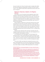ality, and it needs more of them. The judicial system is already under-staffed, with 18.3 active judges per 100,000 people, according to the Kosovo Judicial Council.82 This is higher than years past but significantly lower than other countries in the region. 83

# Paperwork: Diplomas, Cadastre, Civil Registry Diplomas

Even though it is one of the earliest technical agreements made, mutual recognition of diplomas has not been going smoothly. The situation has not improved for any of the students mentioned in the last report. The Kosovo Ministry of Education passed a regulation in August that should pave the way for recognition of Serbian diplomas. Unfortunately in practice this has not enabled anything and nothing has changed since the last BIG DEAL report, which covered this issue extensively.

Mutual recognition of diplomas is an issue that touches the lives of many young people from both Kosovo and Serbia. Albanians in Serbia sometimes choose to study in Kosovo so that they can learn in their native tongue. Serbs in Kosovo need university degrees to get high-level jobs, especially in the government, where in most institutions Serbs are under-represented.<sup>84</sup> While the lack of recognized diplomas may not be the only reason for this, it is certainly a key component.

Albanians living in Serbia who want to get jobs in the public sector also struggle with balancing their desire to study in their native language with accrual of the potential to be employed in the future.

On 21 November 2011, both sides agreed to "ask the European Union Association (EUA) to certify university diplomas issued by universities of each for use by the other in connection with further education and/or public employment." The EUA is just what it sounds like: a body representing more than 800 universities from 47 countries in Europe, committed to exchange and cooperation.<sup>85</sup>

A Dutch NGO, SPARK, was tasked with overseeing the process as a third party, receiving applications from both Kosovo and Serbia and forwarding them to the EUA. However, the two-year contract with SPARK ended in July 2014 and has not been renewed. According to SPARK representatives, this is because

<sup>82</sup> Kosovo Judicial Council, "First Mid-Year 2014 Statistics of the Courts," August 2014. http:// www.kgjk-ks.org/repository/docs/STATISTICS\_REPORT\_ON\_THE\_WORK\_OF\_THE\_COURTS\_Midyear-2011\_638768.pdf

<sup>83</sup> See International Crisis Group, "The Rule of Law in Independent Kosovo," 19 May 2010. At the time the report was written, Bosnia and Herzegovina had 22.1 judges per 100,000 people while Croatia had 40.1 and Montenegro 51. http://www.crisisgroup.org/~/media/Files/europe/balkans/ kosovo/204%20The%20rule%20of%20Law%20in%20Independent%20Kosovo.pdf 84 According to a 2013 study commissioned by the Kosovo Government, few ministries or institutions had the 10% minority representation required by law. The Ministries of Finance, Justice, and European Integration each have less than 2% minority representation. The situation is similar in the tax administration (3%), treasury (1.5%) and customs (1.4%). The Kosovo Police has more than the required 10%. For more information, see "Assessment on the Employment of Members of Non-Majority Communities with the Kosovo Civil Service and Publicly Owned Enterprises," July 2013, by Novartis Consulting. http://www.novusconsult.net/pdf/FINAL\_PRESENTATION\_07\_2013.pdf 85 http://www.eua.be/Home.aspx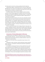both sides need to recommit to actually accepting the other's diplomas.

Implementation began in February 2012 and as of the end of August 2014, 362 applications from Kosovo and 13 applications from Serbia were approved and certificates of recognition of the diplomas were issued. This is from a total of 408 applicants from Kosovo and 25 from Serbia.

According to Serbia's office for Kosovo, Belgrade received only 38 applications, of which 28 were approved, five rejected, and five are still being processed. This was after an additional nostrification process. In contrast with the centralized system in Prishtina, Serbia asks students to apply directly to universities for accreditation.

The nostrification process in Serbia is one of the most complicated in Europe: students need to go to specific faculties and the deans have the authority to determine whether or not a graduate's application from another system can be accepted. This is the procedure for anyone seeking to have their outside diploma recognized in Serbia. That is why Serbia is planning to set up a national centre for diploma recognition. The hope is that diplomas from Kosovo too will be included in this process.

This is an issue that has been food for finger-pointing for many years. Discussions in September resulted in a plan that both capitals would create lists of accredited universities to circulate with the other, and to recognise outstanding diploma applications within five weeks. However, this has again been postponed. Both sides say that discussions are on-going, and that the other side is obstructing the implementation.

# University of Pristina Relocated to Mitrovica

A separate issue is the recognition of diplomas from the "University of Pristina relocated in Mitrovica." This has not been discussed in the Brussels dialogue because while Serbia sees this as a Serbian institution, Kosovo considers that it is on their territory.

Resolution of this issue is key for young Serbs living in Kosovo to find gainful

employment in public institutions, obtain professional licenses issued by public institutions, or participate in professional examinations organised by public institutions.

In June 2015, a working group<sup>86</sup> laid out criteria to determine how a graduate's qualifications can be assessed so that a certificate can be used as a replacement for a diploma, without actually recognizing the diploma of the university. According to the strategy, which is supposed to become operational by the end of 2015, a 7-member commission will issue certificates to citizens of the Republic of Kosovo who have degrees issued by the university in North

<sup>86</sup> The following stakeholders have been consulted in preparing the criteria: Legal Office of the Office of The Prime Minister, the Office for Community Affairs within the OPM, Kosovo Serb Political Representatives in the Government of Kosovo, University of Mitrovica North, and the EU Office in Kosovo.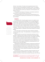Mitrovica. Two members of the panel will be proposed by Kosovo's Prime Minister, and three will be proposed by its education minister. The strategy is rooted in the awareness of the right to work and education, as well as Kosovo's Law on Higher Education and the Law on Education in the Municipalities of the Republic of Kosovo.

 The regulation should apply for three years, to all diplomas issued since 2001, when the university relocated to North Mitrovica.

Unfortunately, people close to this process are concerned that due to the halt on the Association imposed by the Constitutional Court, this procedure will also be delayed.

# **Cadastre**

On 2 September 2011, the parties agreed to ensure a full cadastral record for Kosovo by a similar process as delineated in the civil registry agreement. Tripartite teams, chaired by the EU, were to scan and verify the pre-1999 documents.87 Each cadastral document would be compared by a technical agency within Kosovo, and in cases of disparity between the cadastre that was returned from Serbia and the one created in Kosovo after the war, an adjudication mechanism - the Kosovo Property Certification and Verification Agency (KPCVA) - would make a decision on ownership, with the Kosovo Supreme Court hearing appeals.

In her recent report on the state of play, Kosovo's Minister for Dialogue Tahiri put the situation simply: "The implementation of this Agreement has not yet started."88

Serbia committed to scan and return the documents and Kosovo committed itself to creating the Kosovo Property Certification and Verification Agency (KPCVA), to handle disputes about those documents. The passage of the KPCVA law was blocked for a long time, though it passed its first reading for the second time on 27 April 2015. More than four years since the agreement was signed, the law remains in its first reading before the Kosovo Assembly. At the time of writing, a second reading is planned, but continued obstruction of the Assembly's work could further delay it.

Vetevendosje! has opposed this law because it foresees that the KPCVA will be supervised by an EU representative, and the party argues that the period of supervised independence has been over for several years in Kosovo. The Kosovo government believes that the exchange of letters between President Jahjaga and Catherine Ashton in 2014, ratified by the Assembly, can provide the basis for this appointment.

The current law is certainly a compromise, because the original text of the agreement stipulates the establishment of a new agency. "This is not really reflected in the draft law," says a source involved in the process, "But if the law

87 Full agreement here: http://www.kryeministri-ks.net/repository/docs/agreement\_0210\_cadastral\_records.pdf 88 "Brussels Agreement Implementation State of Play March-September 2015," op. cit., page 45.

 "This is not really reflected in the draft law, but if the law is interpreted rightly, it could be a workable basis."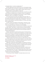is interpreted rightly, it could be a workable basis."<sup>89</sup>

BIG DEAL approached a Kosovo Serb MP who sits on the Assembly's legislative committee to ask for the opinion of Srpska Lista of the draft law. The MP, unfortunately, sent BIG DEAL's request straight to Serbia's Office for Kosovo and did not respond to further attempts to contact her.

Belgrade is not satisfied with the current draft law on the KPCVA, but wants to see resolution of property issues. According to the text of the agreement, a government official from Belgrade should be present in issues of property adjudication, which is not provided for in the draft law.

The current draft law also raises some logistical and human rights concerns, says independent property rights expert Massimo Moratti, who has more than fifteen years experience in property issues in the Balkans.<sup>90</sup> First of all, there is no clear hierarchy of documents provided for in the law, which would help in assessing claims.

The main concerns are violations of Article 6 para. 1 and Article 1 of the Protocol 1 of the European Convention on Human Rights, which concern the right to a fair and timely trial or resolution of court proceedings.

The proceedings provided for in the draft law do not satisfy the requirements of "public hearing," says Moratti. The draft also does not provide necessary guarantees that persons with legal interests will be informed in a timely way about the proceedings and does not take into account the specific position of internally displaced persons.

Moreover, says Moratti, the wide discretionary power of the Executive Secretariat in the collection of evidence and the nonselective use of public archives in the process of comparison, verification and adjudication could lead to the final decisions being based on questionable evidence while the appellate proceedings before the Supreme Court of Kosovo are of too limited scope.

"I guess that within the EU there are some sort of legal checks of compliance of these agreements with human rights standards, so I am rather surprised that this issue has not been noticed by the EU unless the pressure to reach an agreement was the key factor in overseeing these issues."

Additionally, the draft law invokes remedies for the execution of the final decisions, which have proven to be ineffective in the past ten years of the Kosovo Property Agency. Unfortunately, there are no safeguards that the identified obstacles to their effective application would be removed.

Finally, there has been no feasibility study undertaken to determine how long the KPCVA would need to be operational and how much it would cost.

Moratti believes that in this case, an impartial body like the Venice Commission, which Kosovo is now a member of, should examine the draft law and its compliance with human rights standards.

The scanning continues in Belgrade. The original deal was only to scan

<sup>89</sup> Interview in Prishtina in October 2015.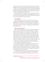the documents, but a test run of the process revealed that without making the database of documents searchable, finding specific cadastral records would be too difficult. In June 2014 Serbia agreed to make the future database searchable and now the documents are being indexed. As of 6 November, there have been 3,198,257 images scanned and 329,309 images indexed out of a total estimated number of 4,037,264 from 300 books in total.

The EU-funded support for the project runs until March 2016. At the time of writing the completion of scanning and handover is feasible by that date. However, the work of the legislative committee on KPCVA has been put on hold, and so has the second reading of the law in parliament.

## Civil Registry

Before and during the war, Kosovo's civil registries, which contained information about births, deaths, marriages for Kosovo citizens born between 1850 and 1999, were destroyed, burnt or relocated to Serbia. An agreement was reached on 2 July 2011. The return of 12,391 certified civil registry records was completed in March 2014. Kosovo is undertaking an EU-funded project to digitalise these copies.

#### Kosovo and the World

Since declaring independence in 2008, Kosovo has been recognized by 111 countries - only two in the past year. As part of an agreement on regional representation and cooperation, on 24 February 2012, the parties agreed, on an interim basis, that Kosovo's name could appear in regional bodies - with an asterisk, with a footnote referencing UN Security Council Resolution 1244 and the International Court of Justice, ICJ, opinion on the Kosovo declaration of independence. They further agreed that any new agreements would feature Kosovo with the asterisk.<sup>91</sup> Although this asterisk means Kosovo remains unequal on the international stage, it was a big coup for Kosovo to be able to sign agreements in its own name, without having to be represented by UNMIK.

However, Autumn 2015 particularly has been a period of milestones for Kosovo's international memberships and recognition.

Kosovo signed a Stabilisation and Association Agreement (SAA), which paves the way for integration into the European Union, on 27 October. This is a coup for Kosovo: the five EU members who do not recognize Kosovo still agreed on the deal, but the agreement was signed as a bilateral treaty between the EU and Kosovo. The SAA will allow Kosovo companies to export goods to EU countries without having to pay tariffs.

The signing of the SAA comes at a time when the ruling government coalition in Kosovo has been struggling to maintain control over the parliament, which since October has been blocked by the opposition coalition, led by

<sup>91</sup> Full text of the agreement can be found here: http://www.kryeministri-ks.net/repository/docs/ agreement\_0210\_representation.pdf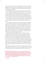Vetevendosje!. It is widely believed that the European Union chose to offer the agreement in order to provide a much-needed boost to the Kosovo government at a difficult time. The agreement is also certainly a reward for continuing the on-going dialogue with Serbia.

Kosovo was the last country in the region to sign a SAA, and the refusal of five EU member states to recognise Kosovo entails that its SAA does not represent the conveyor belt towards membership of the bloc that it has for other countries. Neither has Kosovo's SAA paved its way to visa liberalisation - it remains the only European country west of the former USSR languishing without it, and, it appears, is about to be overtaken by Eastern Partnership countries Ukraine and Georgia, to which the EU is considering offering visa liberalisation.

Kosovo officials have expressed willingness to apply for membership in the Council of Europe once the SAA is signed, but it seems this has been postponed.

Another major development for Kosovo was its campaign to join UNESCO, launched officially on 16 July 2015 and intensified in September and October until the final vote in November. Kosovo Foreign Minister Hashim Thaci and Deputy Foreign Minister Petrit Selimi exhaustively lobbied in Paris, where UN-ESCO is headquartered, and in capitals around the world for Kosovo's recognition. The bid, which needed a 2/3 majority of UNESCO's general assembly, failed on 9 November by three votes, with 92 voting in favour, 50 against, and 29 abstaining. It is a huge blow to Kosovo's momentum, though the blow is softened because of the SAA signed the week prior.

Serbia opposes UNESCO membership for Kosovo because in general it opposes any international recognition for Kosovo, but also because the four UNESCO sites on the territory of Kosovo are Serbian orthodox churches and monasteries. The four sites are officially known as "Medieval Monuments in Kosovo" and UNESCO has them registered in Serbia under "Autonomous Province of Kosovo." The sites are: Visoki Decani Monastery, the Patriarchate of Pec, the Church of the Holy Apostles in Gracanica, and the church of the Bogorodica Ljeviska in Prizren. They were inscribed in 2004, and were added to UNESCO's list of "World Heritage in Danger" in 2006, after riots in March 2004 in which 800 buildings were destroyed or damaged (29 of them churches and monasteries).92

Belgrade and the Serbian Orthodox Church were initially quiet, but once the UNESCO executive board voted to put the vote on the agenda, discourse became very heated, especially from representatives of the Serbian Orthodox Church.

<sup>92</sup> According to an OSCE report about the events: "On 17 and 18 March 2004, a wave of violent riots swept through Kosovo, triggered by two incidents perceived as ethnically-motivated acts. Demonstrations, although seemingly spontaneous at the outset, quickly focused on Kosovo Serbs throughout Kosovo. 19 people were killed (11 Kosovo Albanians, eight Kosovo Serbs), more than 900 persons were injured (including 65 international police officers and 58 Kosovo Police Service officers), and more than 800 buildings destroyed or damaged (including 29 churches or monasteries). By one estimate, more than 50,000 people participated in the riots." For the full report, see: "Four years later: Follow up of March 2004 Riots Cases Before the Kosovo Criminal Justice System." http://www.osce.org/kosovo/32700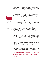Serbia and members of the Serbian Orthodox Church have asked repeatedly for religious heritage to be brought up in the dialogue. Kosovo maintains that it already has mechanisms, like the Implementation and Monitoring Council (IMC) and other working groups, to handle these issues, and has been doing so. 93 Belgrade and representatives of the Serbian Orthodox community, however, have pointed to a draft law on cultural heritage, presented to Kosovo's Parliament in April, as a reason for vociferous opposition to Kosovo's membership.

"My intention was to draw attention to the problems we've been having with Kosovo authorities, particularly since April, when they tried to pass a highly discriminatory law on cultural heritage," Father Sava Janjic, abbot of Decani Monastery, said recently. "In the context of that law, which requests all cultural heritage in Kosovo to become the property of the Republic of Kosovo, the UNESCO membership was seen by our Church as a tool of very likely cultural repression.94

 Moreover, the chair of the IMC, Kosovo Vice-Prime Minister Kujtim Shala, who is currently responsible for chairing these working groups as minister for Youth, Culture and Sport, has not been regularly holding meetings. Several international observers have expressed frustration with his statements on heritage belonging to the Serbian Orthodox Church in Kosovo, and his reluctance to hold meetings. This should change, and Kosovo should recommit itself to implementing what has already been agreed to in the Ahtisaari Plan.<sup>95</sup>

The loss of the UNESCO membership vote has been a blow to Kosovo's legitimacy, but it should focus first on accession to the bodies defined in the list of the agreement brokered by EU facilitator Robert Cooper.

"Kosovo should now carefully design a smarter strategy for accession to other international organizations," says Fisnik Korenica, of the Group for Legal and Political Studies. "It should follow an approach of prioritizing less sensitive organizations first. Regional organizations where Kosovo was not able to accede due to Serbia's obstruction should be now denounced in Brussels. One should remind that Kosovo has not gained membership in the large majority of organizations prescribed in Cooper's list (which had been annexed to the asterisk agreement). This is an alarming result and Kosovo's diplomacy should now take it seriously."

Korenica also suggests that any future bids be made strategically.

"Another big failure after UNESCO would be seriously damaging for Kosovo's statehood," Korenica told BIG DEAL. "So, more strategic preparation is required, full political consensus between all parties, and less marketing for diplomatic things which need be managed softly and confidentially."



"Kosovo should now carefully design a smarter strategy for accession to other international organizations." **-FISNIK KORENICA, GROUP FOR LEGAL AND POLITICAL STUDIES**

<sup>93</sup> Moschopoulos, Dimitri. Serbian Orthodox Cultural Heritage in Kosovo (A Brief Status Report), 6 October 2015. http://www.peacefare.net/wp-content/uploads/2015/10/Status-Report-on-Heritage-Sites-in-Kosovo.pdf

<sup>94</sup> Judah, Tim. "Fr. Sava: Time to Go Forward and Start Dialogue," Balkan Insight, 13 November 2015. http://www.balkaninsight.com/en/article/fr-sava-time-to-go-forward-and-start-dialogue-11-12-2015

<sup>95</sup> Discussions with international officials involved in protection of cultural heritage in Prishtina in October 2015.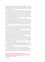Kosovo remains barred from a number of regional bodies, but it has made progress since the beginning of the dialogue, when both parties committed that "neither side will block, or encourage others to block, the other side's progress in their respective EU paths."

On June 10, 2015, Kosovo officially joined the Regional Initiative for Migration, Asylum and Refugees (MARRI).<sup>96</sup> Previously, Kosovo had been participating in MARRI meetings, but noted that "obstruction from Serbia was evident."97 This seems to have been sorted out, though in its recent progress report for Kosovo, the European Commission notes, "Serbia needs to remain committed to the continued implementation of the agreement on representation and participation of Kosovo in regional forums."<sup>98</sup>

The Kosovo government has also complained that the agreement on regional cooperation has been violated because of obstacles posed by Serbia and Bosnia and Herzegovina entity Republika Srpska to Kosovo's full membership of the Parliamentary Network of Western Balkan countries. Kosovo only has the status of 'observer', yet wants to have member status with equal voting rights.99

However, in the words of one international official familiar with Kosovo's regional accession aims, "If Kosovo spent just ten per cent of the energy and effort lobbying for membership in regional organisations as it has on its UNES-CO bid, we would be much further along."100

Kosovo will need to reapply itself with a renewed vigour for Interpol membership. Although Kosovo has sent its request to join the international police cooperation body a few months ago, there is no indication whatsoever that Interpol is taking this request seriously. Interpol has not put Kosovo's request for membership in the agenda for its December meeting.

 Driton Gashi, secretary of the Ministry of Interior, described this as worrying because "with everything going on with terrorism in Europe, it is of mutual interest for Western countries to have Kosovo in Interpol in order to exchange information with us, as much as it is of our interest to have a forum like Interpol to exchange police information."

At the moment, international cooperation of police cases such as international banking crimes and similar issues have been largely dealt with via the EU Rule of Law Mission, EULEX, which has been given the mandate to do so by the UN Mission in Kosovo.

But Gashi rightly points out that this will not be the case forever.

"As it stands, EULEX is predicted to drastically reduce its mandate in 2016 so the question remains: how can we still count on exchanging information regarding police cases at international level once EULEX is gone? – of course,

<sup>96</sup> http://www.marri-rc.org/upload/novi/201506,/Skopje%20Declaration.pdf

<sup>97</sup> Tahiri, Edita. "State of Play in Implementation of Brussels Agreements," 16 January 2014. 98 Kosovo\* 2015 Report, 10 November 2015, page 30. Accessed via http://ec.europa.eu/enlarge-

ment/pdf/key\_documents/2015/20151110\_report\_kosovo.pdf

<sup>99</sup> Tahiri, Edita, "State of Play in Implementation of Brussels Agreements," 10 June 2015. 100 Interview in Prishtina in October 2015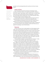

"I have everything in duplicate, it looks like I am Doctor Jekyll and Mister Hyde. Mobile telephony is chaos." **-ZORAN RISTIC**

we prefer to do this exchange directly with countries as it will be of mutual benefit."

# Liaison officers

Two of the people who keep the functioning of the dialogue running smoothly are the liaison officers of the respective governments, stationed in each other's capitals. Valdet Sadiku, Kosovo's liaison officer, is a career foreign service officer who formerly served as Kosovo's ambassador to Croatia. Serbia's officer Dejan Pavicevic had been part of the first team when Boris Tadic's administration began the technical dialogue in 2011.

The parties agreed in Brussels in September 2014 that they will both be in charge exclusively of official visits, and have each handled them ably.

A recent agreement allowing each office an extra staff member was also reached, but has not been fully implemented due to space constraints.

The Kosovo government has complained that after two years, Mr Sadiku has met only with one Serbian minister. Belgrade contends that Prishtina has not asked for the meetings, a claim Prishtina refutes.

## Telecoms

In Kosovo there are a host of mobile operators, with three separate country codes, none of which belong to the country, as it is not yet a member of the International Telecommunications Union (ITU). Kosovo currently uses the Serbian country code +381 for fixed telephone calls, which functions seamlessly between Kosovo and Serbia. Serbian mobile phones with the +381 prefix do not work in Kosovo south of the Ibar except for spotty coverage near the borders and in areas where Serbs live, where they are not in roaming. North of the Ibar river, +381 phones function as if they were in Serbia. This results in most ordinary people carrying two, sometimes three cell phones.

"I have everything in duplicate," says Zoran Ristic from Gracanica. "It looks like I am Doctor Jekyll and Mister Hyde. Mobile telephony is chaos."

In Kosovo, the two mobile operators use the codes for Slovenia and Monaco, +386 and +377 respectively. +386, the Slovenian code, is considered roaming even in Slovenia, and is not considered part of EU-wide inexpensive roaming. Kosovo mobile users pay an average of eight times more than their neighbours or inhabitants of EU countries for roaming calls and about 100 times more for internet while roaming, according to research conducted by NGO LENS.

For many Kosovar consumers, roaming in Serbia is not even an option, a basic problem that inhibits businessmen, journalists, those who go to Serbia for medical treatment or family reasons, tourism, or for any other reason.

An agreement on telecommunications was reached on 8 September 2013 after approximately three years of negotiations.

Point 13 of the 19 April 2013 agreement stipulates that "Discussions on energy and telecoms will be intensified by the two sides and completed by 15 June," and that Kosovo's new country code would be fully operational by 1 Jan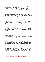uary 2015. That did not happen, but as part of the 25 August package of deals a clarification on the telecom deal was reached.<sup>101</sup>

It stipulates that Austria will apply on Kosovo's behalf to the ITU for the country code +383. This is to be regulated by ARKEP, Kosovo's telecommunications regulatory agency.

Immediately after the deal, Kosovo's Minister Tahiri said that calls between Kosovo and Serbia would be international calls, while Serbian Prime Minister Vucic said "nothing changes," and that "Serbs from Kosovo, when they call Serbs in central Serbia, still dial only 011, and vice versa, when we call Mitrovica, we dial only 028, without any calling codes."102

According to the plan, both countries' regulators will "encourage and facilitate the process of interconnection and roaming agreement between the mobile operators of both sides with a view to reducing costs to citizens."

Another part of the deal is that Kosovo's regulator will give a temporary license to a new telephone company from Serbia (intended for a branch of the Serbian state-owned phone company Telekom Srbije) to be registered under Kosovo law until the opening of a new tender for a phone company.

According to the action plan agreed on 25 August 2015, Kosovo will be officially allocated a country code by the ITU. With the code in place, Kosovo will no longer forfeit the significant licensing fees that it has paid to Slovenia and Monaco for over a decade - estimated by the Kosovo government to have cost 200 million euro.

There is a "migration period" envisaged from April to July 2016, and according to the action plan, "After this date, this dial code from the ITU will be used by all operators in Kosovo. Operators from both parties will reduce costs to local charges for citizens."

On fixed telephony, a full license for fixed telecommunications services will be issued to a new company, a subsidiary of a Serbian company that is registered in Kosovo.

The deal also "opens the path toward achieving technical agreement in the postal services," but this had also been defined in earlier deals, and it remains blocked by ownership disputes over the property of the postal services. Since Kosovo declared independence from Serbia, there has been no formal cooperation between their postal systems. Because of its disputed status, Kosovo faces problems receiving mail and packages from abroad. Mail intended for Kosovo frequently goes to Belgrade, which usually returns items instead of forwarding them. Sometimes mail does arrive, but it is unreliable. This makes it difficult for people in Kosovo to order things online. Some Kosovars get around this by adding a "via Albania" to their address, which routes the mail through Tirana, which in turn forwards it to Kosovo.

<sup>101</sup> Full text here: http://www.kryeministri-ks.net/repository/docs/150825-Joint-Action-Plan\_ Telecoms\_en.pdf 102 http://www.b92.net/eng/news/politics.php?yyyy=2015&mm=08&dd=25&nav\_id=95216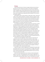#### Energy

Serbia has held the reins of Kosovo's energy infrastructure since the war, and some of the vital infrastructure remains in the northern municipalities, though the system is so interconnected that one cannot function without the other. In September 2013, parties agreed that their energy transmission bodies, KOSTT of Kosovo, and EMS of Serbia, would sign a bilateral agreement within three months, establishing and regulating relations between the two transmission system operators.

Both regulators were to issue licenses for trade (import, export, transit) and supply to their respective distribution companies. Parties also agreed to establish a new company under Kosovo law that would provide distribution services to the northern, Serb-majority municipalities. Kosovo and Serbia also agreed to, at a future time, find a common method for settling the claims both hold against one another for the use of transmission lines, agreeing to seek international arbitration if no solution came within six months.

On 14 September 2014 KOSTT, the Kosovar Electricity Transmission, System and Market Operator and EMS, the Serbian transmission operator, signed an agreement for network management and system operations, which gave both a legal basis to independently operate Kosovo's electricity system for the first time. Before the agreement went into force, KOSTT maintained and operated the transmission network throughout the country, but Serbia's state-run Elektromreze Srbije (EMS) retained ultimate legal control, even though it rarely intervened. Plus, KOSTT had faced obstacles establishing a relationship with the European network of energy distributors, ENTSO-E, because of Serbia's direct interference. Pursuant to the agreement, Serbia agreed to stop blocking Kosovo's membership. However, progress on this issue remained blocked until the recent agreement was signed on 25 August 2015.

Pursuant to the recent agreement, Serbs in Kosovo will have their own supplier and vendor of electric energy, which should be a newly formed daughter company of Serbia's state owned Electric Power Industry (EPS). The new company is to be registered in Kosovo according to Kosovo law. Several applications have been filed, however they were apparently not according to the standards agreed in Brussels. Once the applications are re-submitted, the process of registering the two new companies, one the daughter of EMS and one the daughter of EPS, should proceed normally.

Kosovo still wants to reach an agreement for compensation for past losses from Serbia's profits over control of the transmission of energy. EMS has been auctioning off the use of Kosovo's transmission lines since 2004. The government in Prishtina estimates that between 2004 and 2014 it has lost up to 150 million euros due from this trade.

Some of the vital infrastructure for all of Kosovo's interconnected power system is in the north. The Gazivoda lake, home to Kosovo's largest dam, is located in Zubin Potok. It supplies 60 per cent of the potable water and it is the main source for cooling the power station in Obilic, 10 kilometres from Prishti-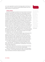na. It is also responsible for one third of the energy needs of north Kosovo. It remains one of the most contentious property disputes between Kosovo and Serbia, and there is no solution yet for it.

# **CONCLUSION**

Since 2011, the dialogue has seemed to be the way forward for both Kosovo and Serbia to ameliorate the status dispute and to make progress towards EU membership. The international community has made the dialogue the first priority, above improving democracy locally in both countries - indeed some take the view that it has made democracy hostage to the dialogue process. This policy could yet prove to have a blowback impact on the very progress made so far in the dialogue. EU and Western officials should be more careful of the means employed to secure deals between Prishtina and Belgrade. Placing too great an emphasis on geopolitical goals at the expense of arm-twisting, distortion of electoral outcomes, and of forging tactical alliances with criminalised political elites become expert in marketing themselves as guarantors of the dialogue process, runs the risk of creating a spiral of local disillusion in the Western and European ideals to which one is endeavoring to attract both Serbia and Kosovo.

In the current phase of dialogue, it seems that there are only a few small details on which there is no plan, meaning that there is little except for political will standing in the way of full implementation. This is a crucial period because the progress that has been made – and the potential progress once the deals are implemented – has not yet become irreversible.

In order to make it so, it will need more popular support. Both governments should do more to explain to their citizens that the implementation of the agreement brings them closer to the EU path, but that much will remain the same. There should be a public campaign by politicians about why they have made these agreements. Both sides should report on what benefit the agreements will bring to their constituents. The progress should be regularly reported to the respective parliaments, and transparency should be a top priority.

"All of Kosovo's negotiating points should have been debated in parliament," says Hana Marku. "The negotiations in Brussels affect the lives of everyone living in Kosovo, and the government's closed approach in this process has been deeply disappointing."

Finally, Kosovo, Serbia and the international community should remember that ethnic quota systems are not the only way to achieve equality.

"Why are not talking about protecting human rights?" asks Milorad Radivojevic, of Zvecan. "If we are always talking about majority and minority communities, then Albanians and Serbs will always have problems."



"All of Kosovo's negotiating points should have been debated in parliament, the negotiations in Brussels effect the lives of everyone living in Kosovo, and the government's closed approach in this process has been deeply disappointing." **-HANA MARKU**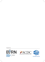Published by:







I

**INTERNEWS KOSOVA**